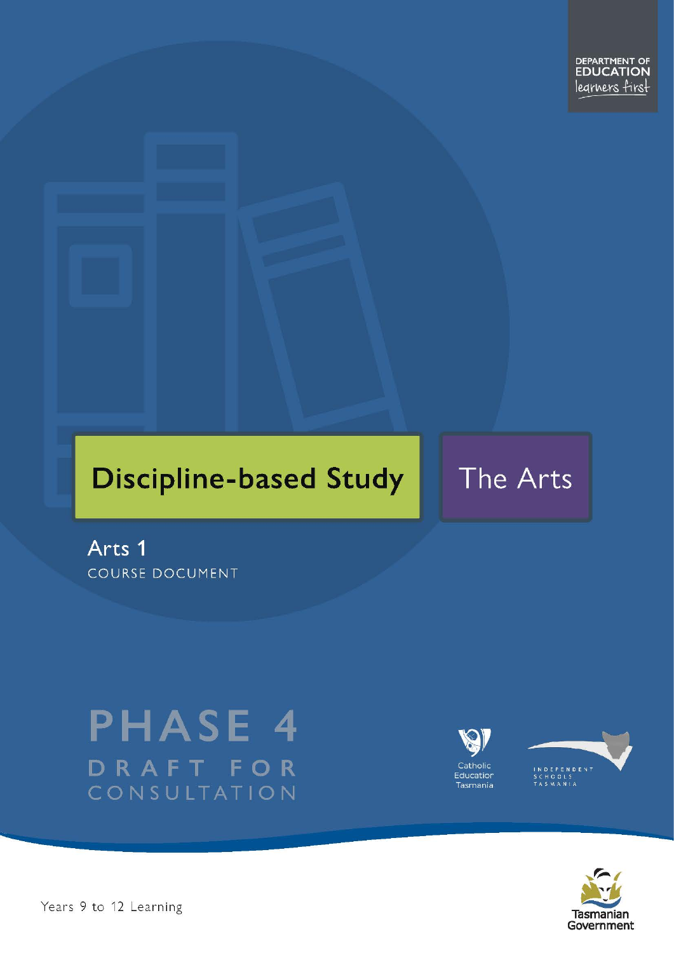# **Discipline-based Study**

## The Arts

Arts 1 **COURSE DOCUMENT** 

# **PHASE 4** DRAFT FOR CONSULTATION





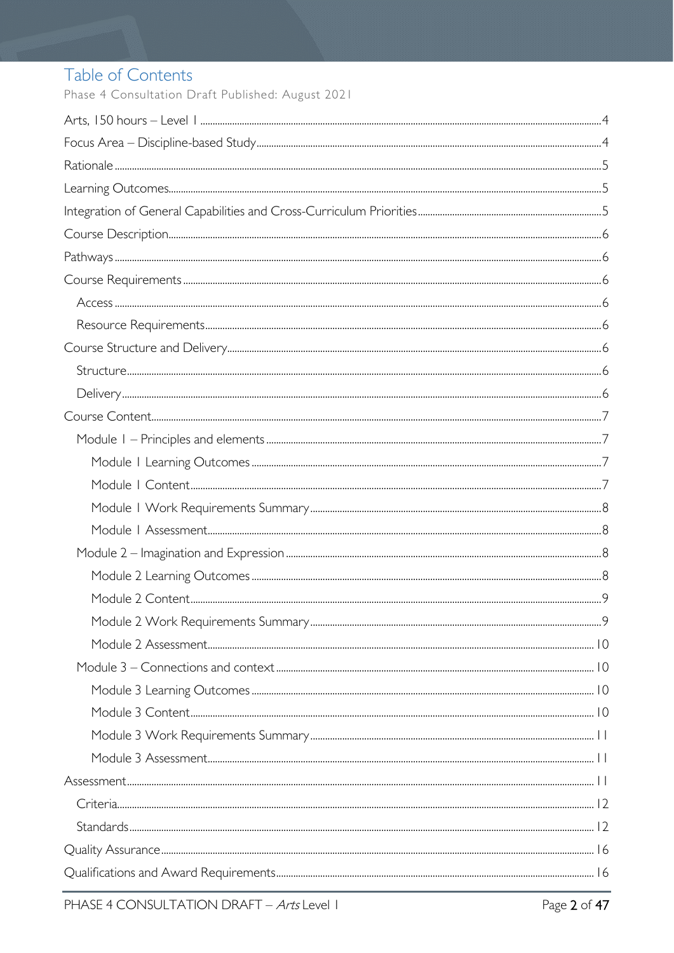### Table of Contents

Phase 4 Consultation Draft Published: August 2021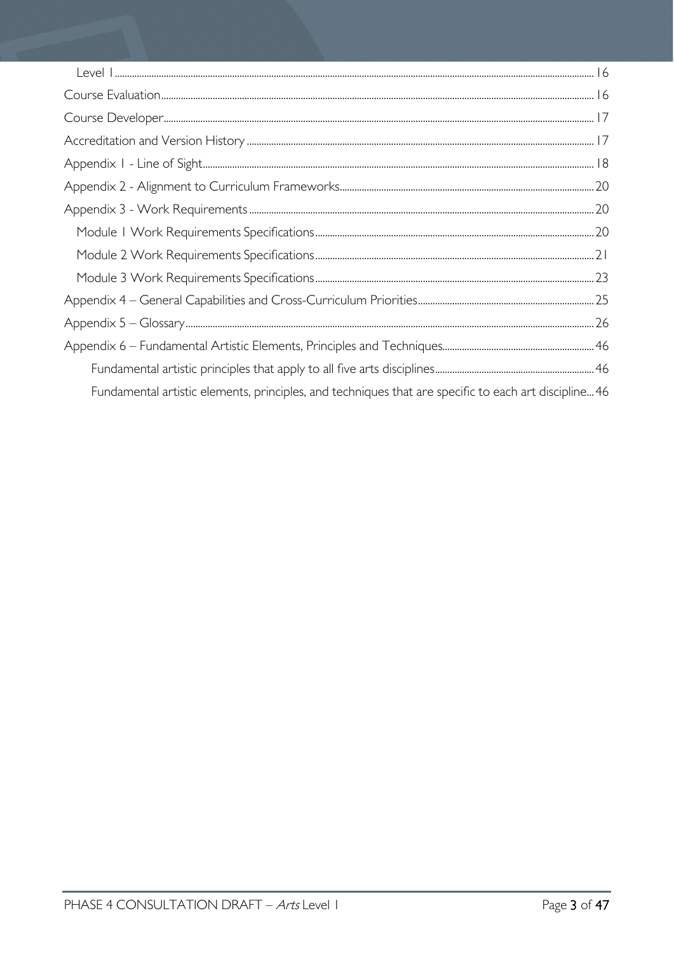| Fundamental artistic elements, principles, and techniques that are specific to each art discipline46 |  |
|------------------------------------------------------------------------------------------------------|--|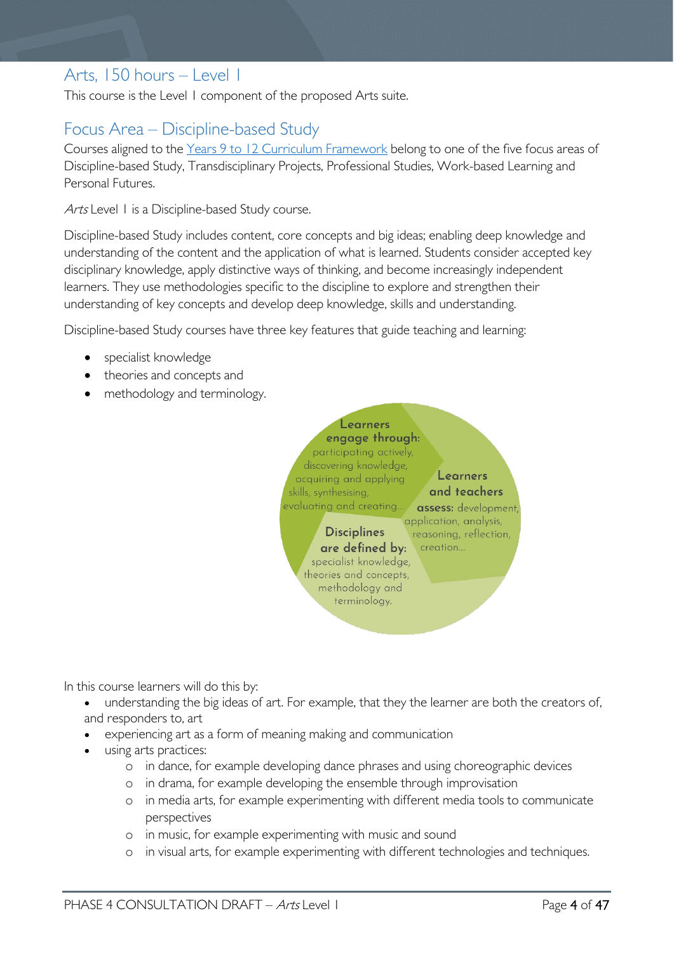### <span id="page-3-0"></span>Arts, 150 hours – Level 1

This course is the Level 1 component of the proposed Arts suite.

### <span id="page-3-1"></span>Focus Area – Discipline-based Study

Courses aligned to the [Years 9 to 12 Curriculum Framework](https://publicdocumentcentre.education.tas.gov.au/library/Shared%20Documents/Education%209-12%20Frameworks%20A3%20WEB%20POSTER.pdf) belong to one of the five focus areas of Discipline-based Study, Transdisciplinary Projects, Professional Studies, Work-based Learning and Personal Futures.

Arts Level 1 is a Discipline-based Study course.

Discipline-based Study includes content, core concepts and big ideas; enabling deep knowledge and understanding of the content and the application of what is learned. Students consider accepted key disciplinary knowledge, apply distinctive ways of thinking, and become increasingly independent learners. They use methodologies specific to the discipline to explore and strengthen their understanding of key concepts and develop deep knowledge, skills and understanding.

Discipline-based Study courses have three key features that guide teaching and learning:

- specialist knowledge
- theories and concepts and
- methodology and terminology.



In this course learners will do this by:

- understanding the big ideas of art. For example, that they the learner are both the creators of, and responders to, art
- experiencing art as a form of meaning making and communication
- using arts practices:
	- o in dance, for example developing dance phrases and using choreographic devices
	- o in drama, for example developing the ensemble through improvisation
	- o in media arts, for example experimenting with different media tools to communicate perspectives
	- o in music, for example experimenting with music and sound
	- o in visual arts, for example experimenting with different technologies and techniques.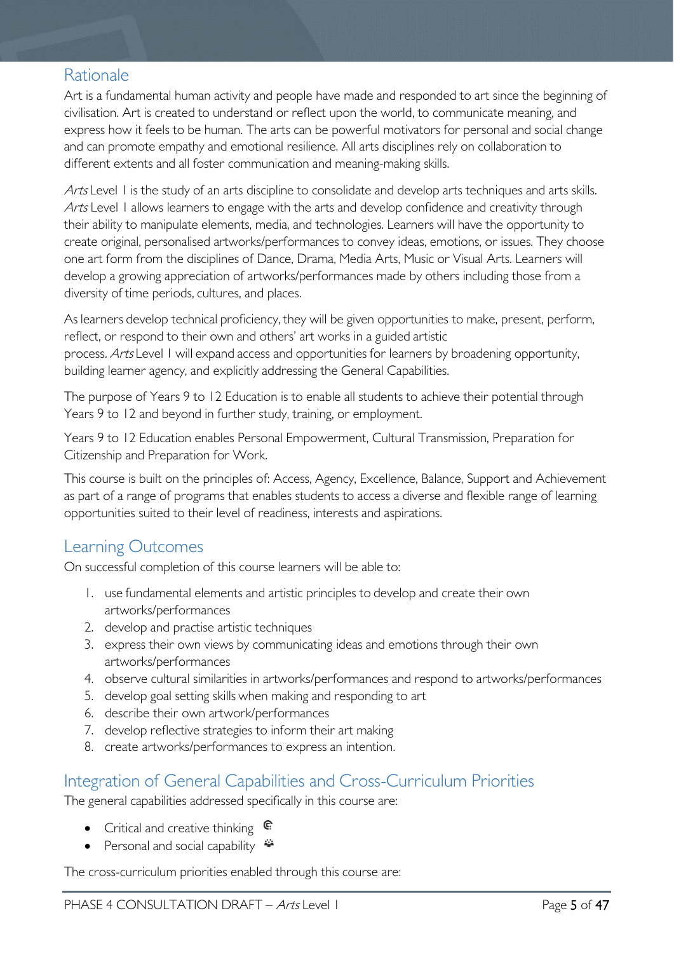### <span id="page-4-0"></span>Rationale

Art is a fundamental human activity and people have made and responded to art since the beginning of civilisation. Art is created to understand or reflect upon the world, to communicate meaning, and express how it feels to be human. The arts can be powerful motivators for personal and social change and can promote empathy and emotional resilience. All arts disciplines rely on collaboration to different extents and all foster communication and meaning-making skills.

Arts Level 1 is the study of an arts discipline to consolidate and develop arts techniques and arts skills. Arts Level 1 allows learners to engage with the arts and develop confidence and creativity through their ability to manipulate elements, media, and technologies. Learners will have the opportunity to create original, personalised artworks/performances to convey ideas, emotions, or issues. They choose one art form from the disciplines of Dance, Drama, Media Arts, Music or Visual Arts. Learners will develop a growing appreciation of artworks/performances made by others including those from a diversity of time periods, cultures, and places.

As learners develop technical proficiency, they will be given opportunities to make, present, perform, reflect, or respond to their own and others' art works in a guided artistic process. Arts Level 1 will expand access and opportunities for learners by broadening opportunity, building learner agency, and explicitly addressing the General Capabilities.

The purpose of Years 9 to 12 Education is to enable all students to achieve their potential through Years 9 to 12 and beyond in further study, training, or employment.

Years 9 to 12 Education enables Personal Empowerment, Cultural Transmission, Preparation for Citizenship and Preparation for Work.

This course is built on the principles of: Access, Agency, Excellence, Balance, Support and Achievement as part of a range of programs that enables students to access a diverse and flexible range of learning opportunities suited to their level of readiness, interests and aspirations.

### <span id="page-4-1"></span>Learning Outcomes

On successful completion of this course learners will be able to:

- 1. use fundamental elements and artistic principles to develop and create their own artworks/performances
- 2. develop and practise artistic techniques
- 3. express their own views by communicating ideas and emotions through their own artworks/performances
- 4. observe cultural similarities in artworks/performances and respond to artworks/performances
- 5. develop goal setting skills when making and responding to art
- 6. describe their own artwork/performances
- 7. develop reflective strategies to inform their art making
- 8. create artworks/performances to express an intention.

### <span id="page-4-2"></span>Integration of General Capabilities and Cross-Curriculum Priorities

The general capabilities addressed specifically in this course are:

- Critical and creative thinking  $\mathbb{C}$
- Personal and social capability  $\ddot{\bullet}$

The cross-curriculum priorities enabled through this course are: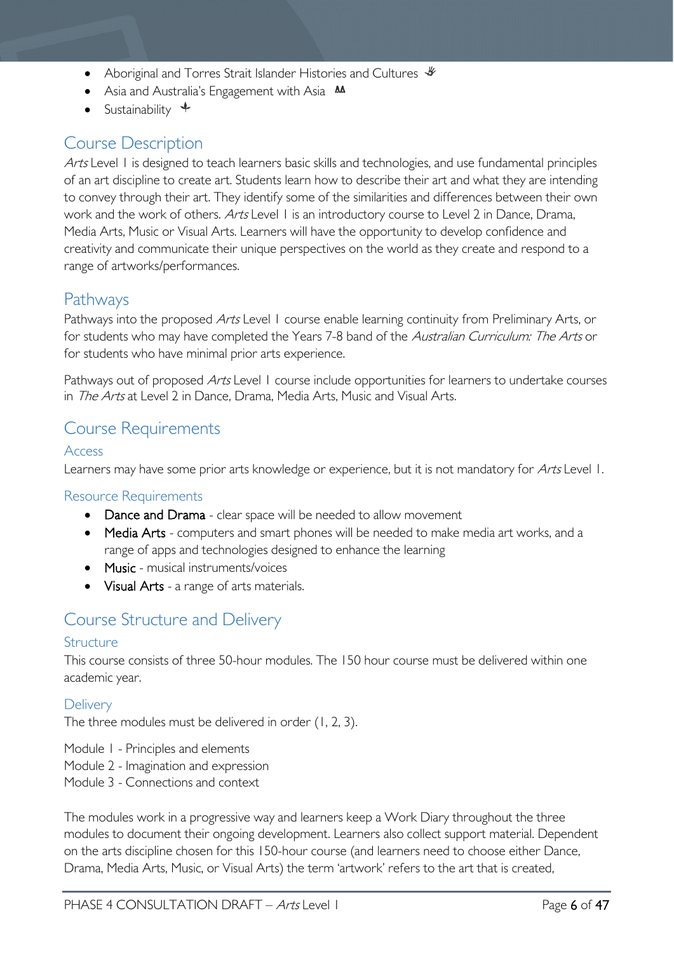- Aboriginal and Torres Strait Islander Histories and Cultures  $\mathcal$
- Asia and Australia's Engagement with Asia **MA**
- Sustainability  $\triangleleft$

### <span id="page-5-0"></span>Course Description

Arts Level 1 is designed to teach learners basic skills and technologies, and use fundamental principles of an art discipline to create art. Students learn how to describe their art and what they are intending to convey through their art. They identify some of the similarities and differences between their own work and the work of others. Arts Level 1 is an introductory course to Level 2 in Dance, Drama, Media Arts, Music or Visual Arts. Learners will have the opportunity to develop confidence and creativity and communicate their unique perspectives on the world as they create and respond to a range of artworks/performances.

### <span id="page-5-1"></span>Pathways

Pathways into the proposed Arts Level 1 course enable learning continuity from Preliminary Arts, or for students who may have completed the Years 7-8 band of the Australian Curriculum: The Arts or for students who have minimal prior arts experience.

Pathways out of proposed Arts Level 1 course include opportunities for learners to undertake courses in *The Arts* at Level 2 in Dance, Drama, Media Arts, Music and Visual Arts.

### <span id="page-5-2"></span>Course Requirements

### <span id="page-5-3"></span>Access

Learners may have some prior arts knowledge or experience, but it is not mandatory for Arts Level 1.

### <span id="page-5-4"></span>Resource Requirements

- Dance and Drama clear space will be needed to allow movement
- Media Arts computers and smart phones will be needed to make media art works, and a range of apps and technologies designed to enhance the learning
- Music musical instruments/voices
- Visual Arts a range of arts materials.

### <span id="page-5-5"></span>Course Structure and Delivery

### <span id="page-5-6"></span>Structure

This course consists of three 50-hour modules. The 150 hour course must be delivered within one academic year.

### <span id="page-5-7"></span>**Delivery**

The three modules must be delivered in order (1, 2, 3).

- Module 1 Principles and elements
- Module 2 Imagination and expression
- Module 3 Connections and context

The modules work in a progressive way and learners keep a Work Diary throughout the three modules to document their ongoing development. Learners also collect support material. Dependent on the arts discipline chosen for this 150-hour course (and learners need to choose either Dance, Drama, Media Arts, Music, or Visual Arts) the term 'artwork' refers to the art that is created,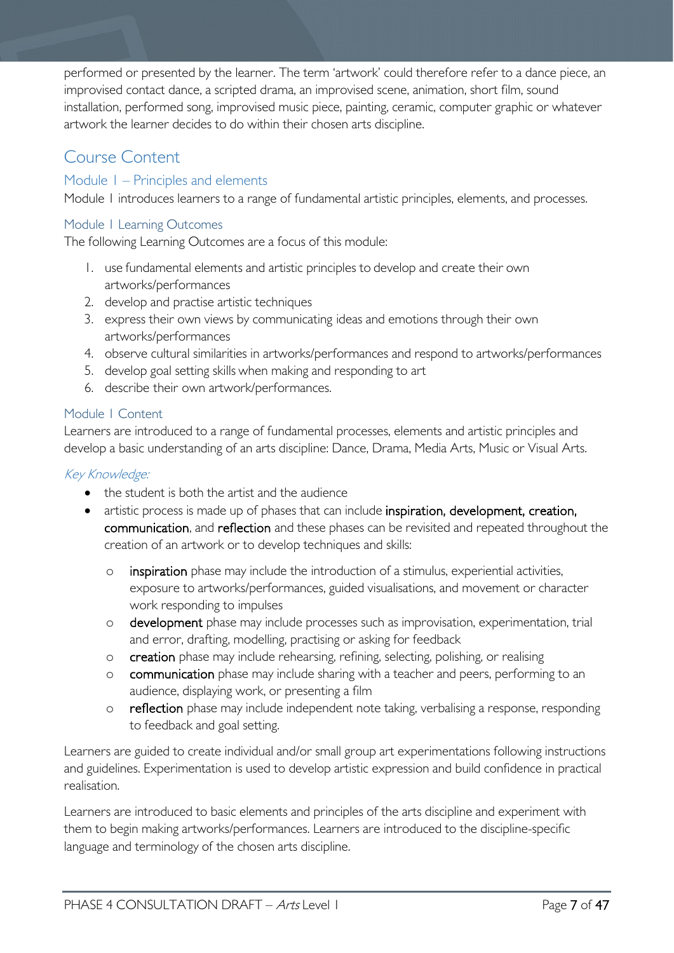performed or presented by the learner. The term 'artwork' could therefore refer to a dance piece, an improvised contact dance, a scripted drama, an improvised scene, animation, short film, sound installation, performed song, improvised music piece, painting, ceramic, computer graphic or whatever artwork the learner decides to do within their chosen arts discipline.

### <span id="page-6-0"></span>Course Content

### <span id="page-6-1"></span>Module 1 – Principles and elements

Module 1 introduces learners to a range of fundamental artistic principles, elements, and processes.

### <span id="page-6-2"></span>Module 1 Learning Outcomes

The following Learning Outcomes are a focus of this module:

- 1. use fundamental elements and artistic principles to develop and create their own artworks/performances
- 2. develop and practise artistic techniques
- 3. express their own views by communicating ideas and emotions through their own artworks/performances
- 4. observe cultural similarities in artworks/performances and respond to artworks/performances
- 5. develop goal setting skills when making and responding to art
- 6. describe their own artwork/performances.

### <span id="page-6-3"></span>Module 1 Content

Learners are introduced to a range of fundamental processes, elements and artistic principles and develop a basic understanding of an arts discipline: Dance, Drama, Media Arts, Music or Visual Arts.

### Key Knowledge:

- the student is both the artist and the audience
- artistic process is made up of phases that can include inspiration, development, creation, communication, and reflection and these phases can be revisited and repeated throughout the creation of an artwork or to develop techniques and skills:
	- o inspiration phase may include the introduction of a stimulus, experiential activities, exposure to artworks/performances, guided visualisations, and movement or character work responding to impulses
	- o development phase may include processes such as improvisation, experimentation, trial and error, drafting, modelling, practising or asking for feedback
	- o creation phase may include rehearsing, refining, selecting, polishing, or realising
	- o communication phase may include sharing with a teacher and peers, performing to an audience, displaying work, or presenting a film
	- o reflection phase may include independent note taking, verbalising a response, responding to feedback and goal setting.

Learners are guided to create individual and/or small group art experimentations following instructions and guidelines. Experimentation is used to develop artistic expression and build confidence in practical realisation.

Learners are introduced to basic elements and principles of the arts discipline and experiment with them to begin making artworks/performances. Learners are introduced to the discipline-specific language and terminology of the chosen arts discipline.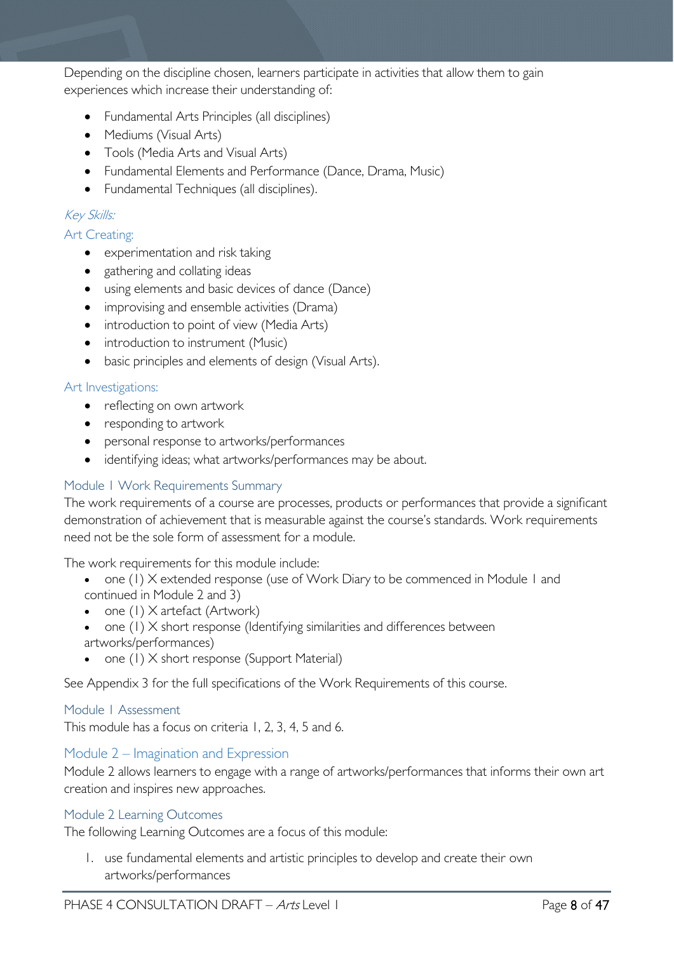Depending on the discipline chosen, learners participate in activities that allow them to gain experiences which increase their understanding of:

- Fundamental Arts Principles (all disciplines)
- Mediums (Visual Arts)
- Tools (Media Arts and Visual Arts)
- Fundamental Elements and Performance (Dance, Drama, Music)
- Fundamental Techniques (all disciplines).

### Key Skills:

### Art Creating:

- experimentation and risk taking
- gathering and collating ideas
- using elements and basic devices of dance (Dance)
- improvising and ensemble activities (Drama)
- introduction to point of view (Media Arts)
- introduction to instrument (Music)
- basic principles and elements of design (Visual Arts).

### Art Investigations:

- reflecting on own artwork
- responding to artwork
- personal response to artworks/performances
- identifying ideas; what artworks/performances may be about.

### <span id="page-7-0"></span>Module 1 Work Requirements Summary

The work requirements of a course are processes, products or performances that provide a significant demonstration of achievement that is measurable against the course's standards. Work requirements need not be the sole form of assessment for a module.

The work requirements for this module include:

- one (1) X extended response (use of Work Diary to be commenced in Module 1 and continued in Module 2 and 3)
- one (1) X artefact (Artwork)
- one (1) X short response (Identifying similarities and differences between artworks/performances)
- one (1) X short response (Support Material)

See Appendix 3 for the full specifications of the Work Requirements of this course.

### <span id="page-7-1"></span>Module 1 Assessment

This module has a focus on criteria 1, 2, 3, 4, 5 and 6.

### <span id="page-7-2"></span>Module 2 – Imagination and Expression

Module 2 allows learners to engage with a range of artworks/performances that informs their own art creation and inspires new approaches.

### <span id="page-7-3"></span>Module 2 Learning Outcomes

The following Learning Outcomes are a focus of this module:

1. use fundamental elements and artistic principles to develop and create their own artworks/performances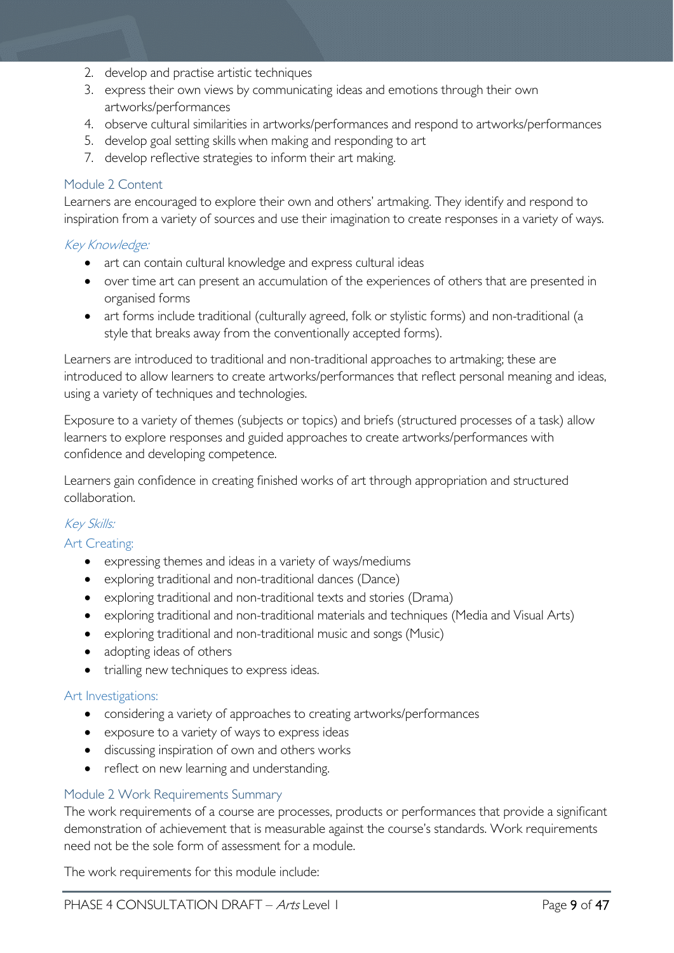- 2. develop and practise artistic techniques
- 3. express their own views by communicating ideas and emotions through their own artworks/performances
- 4. observe cultural similarities in artworks/performances and respond to artworks/performances
- 5. develop goal setting skills when making and responding to art
- 7. develop reflective strategies to inform their art making.

#### <span id="page-8-0"></span>Module 2 Content

Learners are encouraged to explore their own and others' artmaking. They identify and respond to inspiration from a variety of sources and use their imagination to create responses in a variety of ways.  

#### Key Knowledge:

- art can contain cultural knowledge and express cultural ideas
- over time art can present an accumulation of the experiences of others that are presented in organised forms
- art forms include traditional (culturally agreed, folk or stylistic forms) and non-traditional (a style that breaks away from the conventionally accepted forms).

Learners are introduced to traditional and non-traditional approaches to artmaking; these are introduced to allow learners to create artworks/performances that reflect personal meaning and ideas, using a variety of techniques and technologies.

Exposure to a variety of themes (subjects or topics) and briefs (structured processes of a task) allow learners to explore responses and guided approaches to create artworks/performances with confidence and developing competence.

Learners gain confidence in creating finished works of art through appropriation and structured collaboration.  

### Key Skills:

#### Art Creating:

- expressing themes and ideas in a variety of ways/mediums
- exploring traditional and non-traditional dances (Dance)
- exploring traditional and non-traditional texts and stories (Drama)
- exploring traditional and non-traditional materials and techniques (Media and Visual Arts)
- exploring traditional and non-traditional music and songs (Music)
- adopting ideas of others
- trialling new techniques to express ideas.

#### Art Investigations:

- considering a variety of approaches to creating artworks/performances
- exposure to a variety of ways to express ideas
- discussing inspiration of own and others works
- reflect on new learning and understanding.

#### <span id="page-8-1"></span>Module 2 Work Requirements Summary

The work requirements of a course are processes, products or performances that provide a significant demonstration of achievement that is measurable against the course's standards. Work requirements need not be the sole form of assessment for a module.

The work requirements for this module include: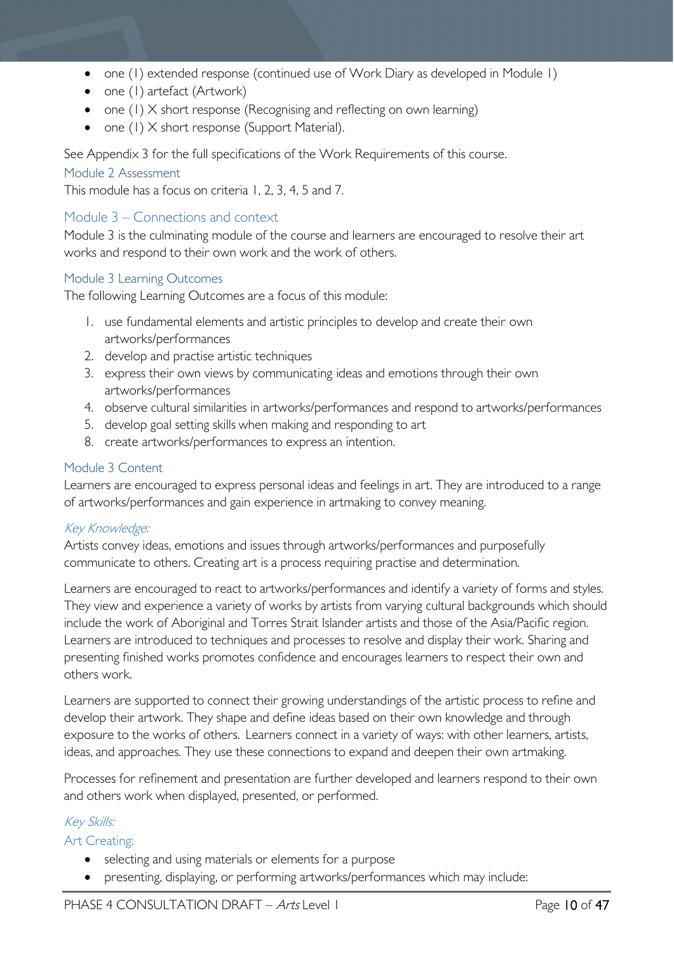- one (1) extended response (continued use of Work Diary as developed in Module 1)
- one (1) artefact (Artwork)
- one (1) X short response (Recognising and reflecting on own learning)
- one (1) X short response (Support Material).

See Appendix 3 for the full specifications of the Work Requirements of this course.

### <span id="page-9-0"></span>Module 2 Assessment

This module has a focus on criteria 1, 2, 3, 4, 5 and 7.

### <span id="page-9-1"></span>Module 3 – Connections and context

Module 3 is the culminating module of the course and learners are encouraged to resolve their art works and respond to their own work and the work of others.

### <span id="page-9-2"></span>Module 3 Learning Outcomes

The following Learning Outcomes are a focus of this module:

- 1. use fundamental elements and artistic principles to develop and create their own artworks/performances
- 2. develop and practise artistic techniques
- 3. express their own views by communicating ideas and emotions through their own artworks/performances
- 4. observe cultural similarities in artworks/performances and respond to artworks/performances
- 5. develop goal setting skills when making and responding to art
- 8. create artworks/performances to express an intention.

### <span id="page-9-3"></span>Module 3 Content

Learners are encouraged to express personal ideas and feelings in art. They are introduced to a range of artworks/performances and gain experience in artmaking to convey meaning.

### Key Knowledge:

Artists convey ideas, emotions and issues through artworks/performances and purposefully communicate to others. Creating art is a process requiring practise and determination.

Learners are encouraged to react to artworks/performances and identify a variety of forms and styles. They view and experience a variety of works by artists from varying cultural backgrounds which should include the work of Aboriginal and Torres Strait Islander artists and those of the Asia/Pacific region. Learners are introduced to techniques and processes to resolve and display their work. Sharing and presenting finished works promotes confidence and encourages learners to respect their own and others work.

Learners are supported to connect their growing understandings of the artistic process to refine and develop their artwork. They shape and define ideas based on their own knowledge and through exposure to the works of others.  Learners connect in a variety of ways: with other learners, artists, ideas, and approaches. They use these connections to expand and deepen their own artmaking.

Processes for refinement and presentation are further developed and learners respond to their own and others work when displayed, presented, or performed.  

### Key Skills:

### Art Creating:

- selecting and using materials or elements for a purpose
- presenting, displaying, or performing artworks/performances which may include: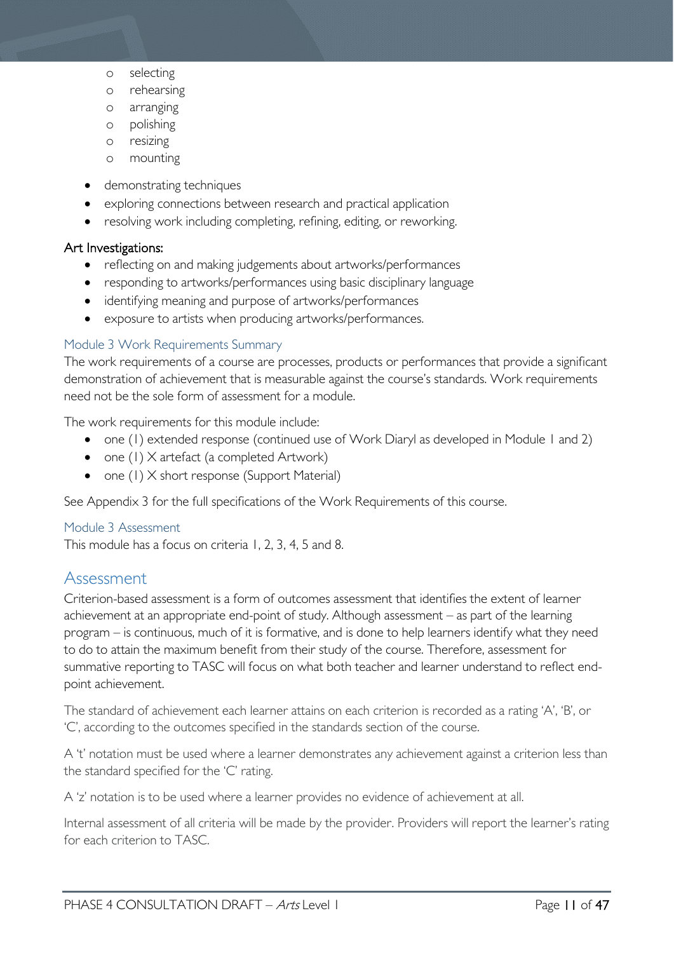- o selecting
- o rehearsing
- o arranging
- o polishing
- o resizing
- o mounting
- demonstrating techniques
- exploring connections between research and practical application
- resolving work including completing, refining, editing, or reworking.

### Art Investigations:

- reflecting on and making judgements about artworks/performances
- responding to artworks/performances using basic disciplinary language
- identifying meaning and purpose of artworks/performances
- exposure to artists when producing artworks/performances.

#### <span id="page-10-0"></span>Module 3 Work Requirements Summary

The work requirements of a course are processes, products or performances that provide a significant demonstration of achievement that is measurable against the course's standards. Work requirements need not be the sole form of assessment for a module.

The work requirements for this module include:

- one (1) extended response (continued use of Work Diaryl as developed in Module 1 and 2)
- one (1) X artefact (a completed Artwork)
- one (1) X short response (Support Material)

See Appendix 3 for the full specifications of the Work Requirements of this course.

#### <span id="page-10-1"></span>Module 3 Assessment

This module has a focus on criteria 1, 2, 3, 4, 5 and 8.

### <span id="page-10-2"></span>Assessment

Criterion-based assessment is a form of outcomes assessment that identifies the extent of learner achievement at an appropriate end-point of study. Although assessment – as part of the learning program – is continuous, much of it is formative, and is done to help learners identify what they need to do to attain the maximum benefit from their study of the course. Therefore, assessment for summative reporting to TASC will focus on what both teacher and learner understand to reflect endpoint achievement.

The standard of achievement each learner attains on each criterion is recorded as a rating 'A', 'B', or 'C', according to the outcomes specified in the standards section of the course.

A 't' notation must be used where a learner demonstrates any achievement against a criterion less than the standard specified for the 'C' rating.

A 'z' notation is to be used where a learner provides no evidence of achievement at all.

Internal assessment of all criteria will be made by the provider. Providers will report the learner's rating for each criterion to TASC.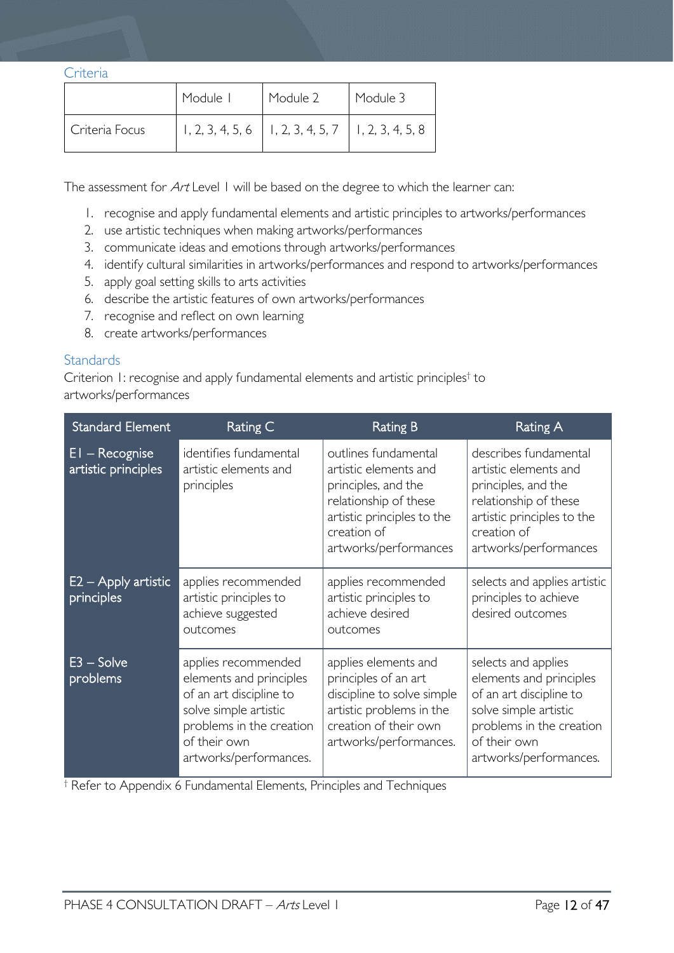#### <span id="page-11-0"></span>**Criteria**

|                | Module I | Module 2                                                 | Module 3 |
|----------------|----------|----------------------------------------------------------|----------|
| Criteria Focus |          | $1, 2, 3, 4, 5, 6$   1, 2, 3, 4, 5, 7   1, 2, 3, 4, 5, 8 |          |

The assessment for Art Level 1 will be based on the degree to which the learner can:

- 1. recognise and apply fundamental elements and artistic principles to artworks/performances
- 2. use artistic techniques when making artworks/performances
- 3. communicate ideas and emotions through artworks/performances
- 4. identify cultural similarities in artworks/performances and respond to artworks/performances
- 5. apply goal setting skills to arts activities
- 6. describe the artistic features of own artworks/performances
- 7. recognise and reflect on own learning
- 8. create artworks/performances

### <span id="page-11-1"></span>**Standards**

Criterion 1: recognise and apply fundamental elements and artistic principles† to artworks/performances

| <b>Standard Element</b>                 | <b>Rating C</b>                                                                                                                                                          | <b>Rating B</b>                                                                                                                                                     | <b>Rating A</b>                                                                                                                                                          |
|-----------------------------------------|--------------------------------------------------------------------------------------------------------------------------------------------------------------------------|---------------------------------------------------------------------------------------------------------------------------------------------------------------------|--------------------------------------------------------------------------------------------------------------------------------------------------------------------------|
| $EI - Recognise$<br>artistic principles | identifies fundamental<br>artistic elements and<br>principles                                                                                                            | outlines fundamental<br>artistic elements and<br>principles, and the<br>relationship of these<br>artistic principles to the<br>creation of<br>artworks/performances | describes fundamental<br>artistic elements and<br>principles, and the<br>relationship of these<br>artistic principles to the<br>creation of<br>artworks/performances     |
| $E2 -$ Apply artistic<br>principles     | applies recommended<br>artistic principles to<br>achieve suggested<br>outcomes                                                                                           | applies recommended<br>artistic principles to<br>achieve desired<br>outcomes                                                                                        | selects and applies artistic<br>principles to achieve<br>desired outcomes                                                                                                |
| $E3 - Solve$<br>problems                | applies recommended<br>elements and principles<br>of an art discipline to<br>solve simple artistic<br>problems in the creation<br>of their own<br>artworks/performances. | applies elements and<br>principles of an art<br>discipline to solve simple<br>artistic problems in the<br>creation of their own<br>artworks/performances.           | selects and applies<br>elements and principles<br>of an art discipline to<br>solve simple artistic<br>problems in the creation<br>of their own<br>artworks/performances. |

† Refer to Appendix 6 Fundamental Elements, Principles and Techniques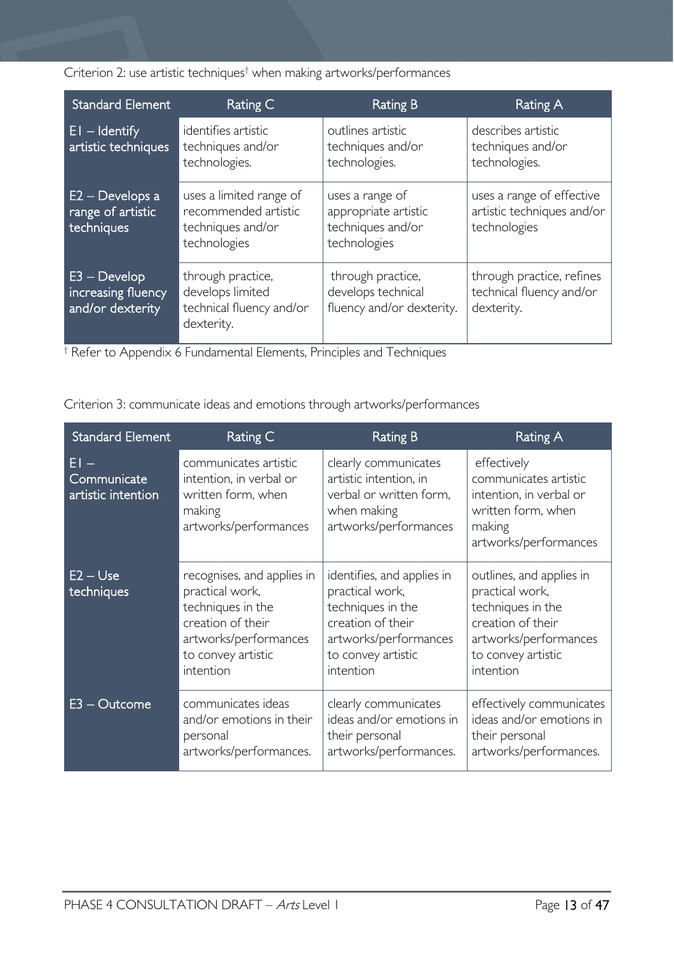Criterion 2: use artistic techniques† when making artworks/performances

| <b>Standard Element</b>                                  | Rating C                                                                             | Rating B                                                                     | Rating A                                                                |
|----------------------------------------------------------|--------------------------------------------------------------------------------------|------------------------------------------------------------------------------|-------------------------------------------------------------------------|
| $EI - Identity$<br>artistic techniques                   | identifies artistic<br>techniques and/or<br>technologies.                            | outlines artistic<br>techniques and/or<br>technologies.                      | describes artistic<br>techniques and/or<br>technologies.                |
| $E2 - Develops$ a<br>range of artistic<br>techniques     | uses a limited range of<br>recommended artistic<br>techniques and/or<br>technologies | uses a range of<br>appropriate artistic<br>techniques and/or<br>technologies | uses a range of effective<br>artistic techniques and/or<br>technologies |
| $E3 - Develop$<br>increasing fluency<br>and/or dexterity | through practice,<br>develops limited<br>technical fluency and/or<br>dexterity.      | through practice,<br>develops technical<br>fluency and/or dexterity.         | through practice, refines<br>technical fluency and/or<br>dexterity.     |

† Refer to Appendix 6 Fundamental Elements, Principles and Techniques

Criterion 3: communicate ideas and emotions through artworks/performances

| <b>Standard Element</b>                   | Rating C                                                                                                                                            | <b>Rating B</b>                                                                                                                                     | <b>Rating A</b>                                                                                                                                   |
|-------------------------------------------|-----------------------------------------------------------------------------------------------------------------------------------------------------|-----------------------------------------------------------------------------------------------------------------------------------------------------|---------------------------------------------------------------------------------------------------------------------------------------------------|
| FI –<br>Communicate<br>artistic intention | communicates artistic<br>intention, in verbal or<br>written form, when<br>making<br>artworks/performances                                           | clearly communicates<br>artistic intention, in<br>verbal or written form,<br>when making<br>artworks/performances                                   | effectively<br>communicates artistic<br>intention, in verbal or<br>written form, when<br>making<br>artworks/performances                          |
| $E2 - Use$<br>techniques                  | recognises, and applies in<br>practical work,<br>techniques in the<br>creation of their<br>artworks/performances<br>to convey artistic<br>intention | identifies, and applies in<br>practical work,<br>techniques in the<br>creation of their<br>artworks/performances<br>to convey artistic<br>intention | outlines, and applies in<br>practical work,<br>techniques in the<br>creation of their<br>artworks/performances<br>to convey artistic<br>intention |
| $E3 - Outcome$                            | communicates ideas<br>and/or emotions in their<br>personal<br>artworks/performances.                                                                | clearly communicates<br>ideas and/or emotions in<br>their personal<br>artworks/performances.                                                        | effectively communicates<br>ideas and/or emotions in<br>their personal<br>artworks/performances.                                                  |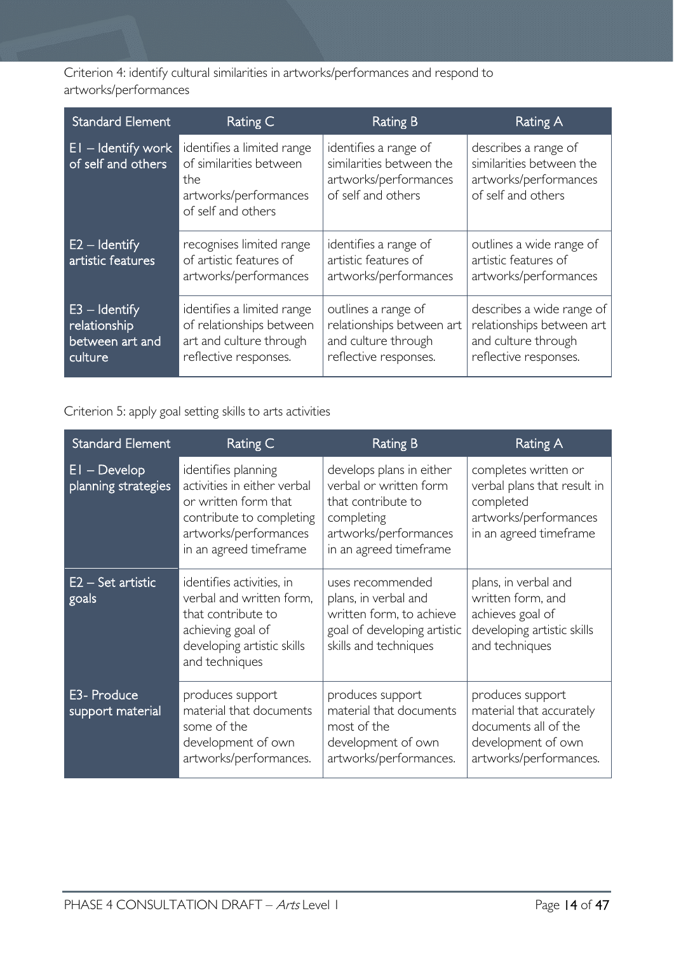Criterion 4: identify cultural similarities in artworks/performances and respond to artworks/performances

| <b>Standard Element</b>                                       | Rating C                                                                                                    | <b>Rating B</b>                                                                                  | Rating A                                                                                               |
|---------------------------------------------------------------|-------------------------------------------------------------------------------------------------------------|--------------------------------------------------------------------------------------------------|--------------------------------------------------------------------------------------------------------|
| $EI$ – Identify work<br>of self and others                    | identifies a limited range<br>of similarities between<br>the<br>artworks/performances<br>of self and others | identifies a range of<br>similarities between the<br>artworks/performances<br>of self and others | describes a range of<br>similarities between the<br>artworks/performances<br>of self and others        |
| $E2 -$ Identify<br>artistic features                          | recognises limited range<br>of artistic features of<br>artworks/performances                                | identifies a range of<br>artistic features of<br>artworks/performances                           | outlines a wide range of<br>artistic features of<br>artworks/performances                              |
| $E3 -$ Identify<br>relationship<br>between art and<br>culture | identifies a limited range<br>of relationships between<br>art and culture through<br>reflective responses.  | outlines a range of<br>relationships between art<br>and culture through<br>reflective responses. | describes a wide range of<br>relationships between art<br>and culture through<br>reflective responses. |

Criterion 5: apply goal setting skills to arts activities

| <b>Standard Element</b>               | Rating C                                                                                                                                                  | <b>Rating B</b>                                                                                                                           | <b>Rating A</b>                                                                                                      |
|---------------------------------------|-----------------------------------------------------------------------------------------------------------------------------------------------------------|-------------------------------------------------------------------------------------------------------------------------------------------|----------------------------------------------------------------------------------------------------------------------|
| $EI - Develop$<br>planning strategies | identifies planning<br>activities in either verbal<br>or written form that<br>contribute to completing<br>artworks/performances<br>in an agreed timeframe | develops plans in either<br>verbal or written form<br>that contribute to<br>completing<br>artworks/performances<br>in an agreed timeframe | completes written or<br>verbal plans that result in<br>completed<br>artworks/performances<br>in an agreed timeframe  |
| $E2 - Set$ artistic<br>goals          | identifies activities, in<br>verbal and written form,<br>that contribute to<br>achieving goal of<br>developing artistic skills<br>and techniques          | uses recommended<br>plans, in verbal and<br>written form, to achieve<br>goal of developing artistic<br>skills and techniques              | plans, in verbal and<br>written form, and<br>achieves goal of<br>developing artistic skills<br>and techniques        |
| E3- Produce<br>support material       | produces support<br>material that documents<br>some of the<br>development of own<br>artworks/performances.                                                | produces support<br>material that documents<br>most of the<br>development of own<br>artworks/performances.                                | produces support<br>material that accurately<br>documents all of the<br>development of own<br>artworks/performances. |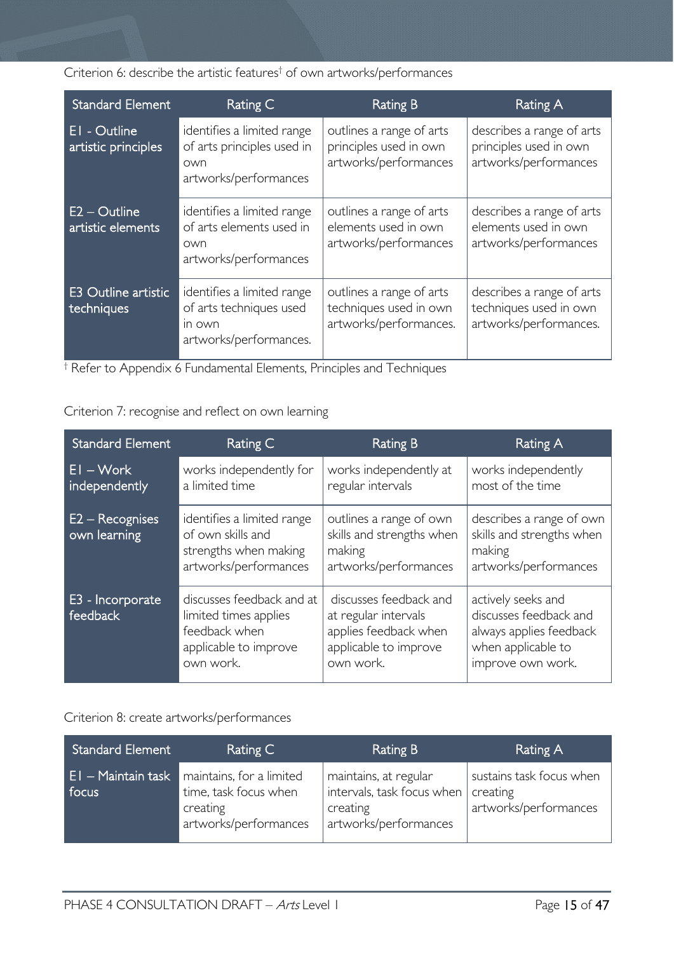Criterion 6: describe the artistic features† of own artworks/performances

| <b>Standard Element</b>             | Rating C                                                                                  | <b>Rating B</b>                                                              | Rating A                                                                      |
|-------------------------------------|-------------------------------------------------------------------------------------------|------------------------------------------------------------------------------|-------------------------------------------------------------------------------|
| EI - Outline<br>artistic principles | identifies a limited range<br>of arts principles used in<br>own<br>artworks/performances  | outlines a range of arts<br>principles used in own<br>artworks/performances  | describes a range of arts<br>principles used in own<br>artworks/performances  |
| $E2 -$ Outline<br>artistic elements | identifies a limited range<br>of arts elements used in<br>own<br>artworks/performances    | outlines a range of arts<br>elements used in own<br>artworks/performances    | describes a range of arts<br>elements used in own<br>artworks/performances    |
| E3 Outline artistic<br>techniques   | identifies a limited range<br>of arts techniques used<br>in own<br>artworks/performances. | outlines a range of arts<br>techniques used in own<br>artworks/performances. | describes a range of arts<br>techniques used in own<br>artworks/performances. |

† Refer to Appendix 6 Fundamental Elements, Principles and Techniques

Criterion 7: recognise and reflect on own learning

| <b>Standard Element</b>           | Rating C                                                                                                  | <b>Rating B</b>                                                                                               | Rating A                                                                                                           |
|-----------------------------------|-----------------------------------------------------------------------------------------------------------|---------------------------------------------------------------------------------------------------------------|--------------------------------------------------------------------------------------------------------------------|
| $EI - Work$<br>independently      | works independently for<br>a limited time                                                                 | works independently at<br>regular intervals                                                                   | works independently<br>most of the time                                                                            |
| $E2 - Recognises$<br>own learning | identifies a limited range<br>of own skills and<br>strengths when making<br>artworks/performances         | outlines a range of own<br>skills and strengths when<br>making<br>artworks/performances                       | describes a range of own<br>skills and strengths when<br>making<br>artworks/performances                           |
| E3 - Incorporate<br>feedback      | discusses feedback and at<br>limited times applies<br>feedback when<br>applicable to improve<br>own work. | discusses feedback and<br>at regular intervals<br>applies feedback when<br>applicable to improve<br>own work. | actively seeks and<br>discusses feedback and<br>always applies feedback<br>when applicable to<br>improve own work. |

### Criterion 8: create artworks/performances

| Standard Element              | Rating C                                                                               | Rating B                                                                                 | Rating A                                                      |
|-------------------------------|----------------------------------------------------------------------------------------|------------------------------------------------------------------------------------------|---------------------------------------------------------------|
| $E1 -$ Maintain task<br>focus | maintains, for a limited<br>time, task focus when<br>creating<br>artworks/performances | maintains, at regular<br>intervals, task focus when<br>creating<br>artworks/performances | sustains task focus when<br>creating<br>artworks/performances |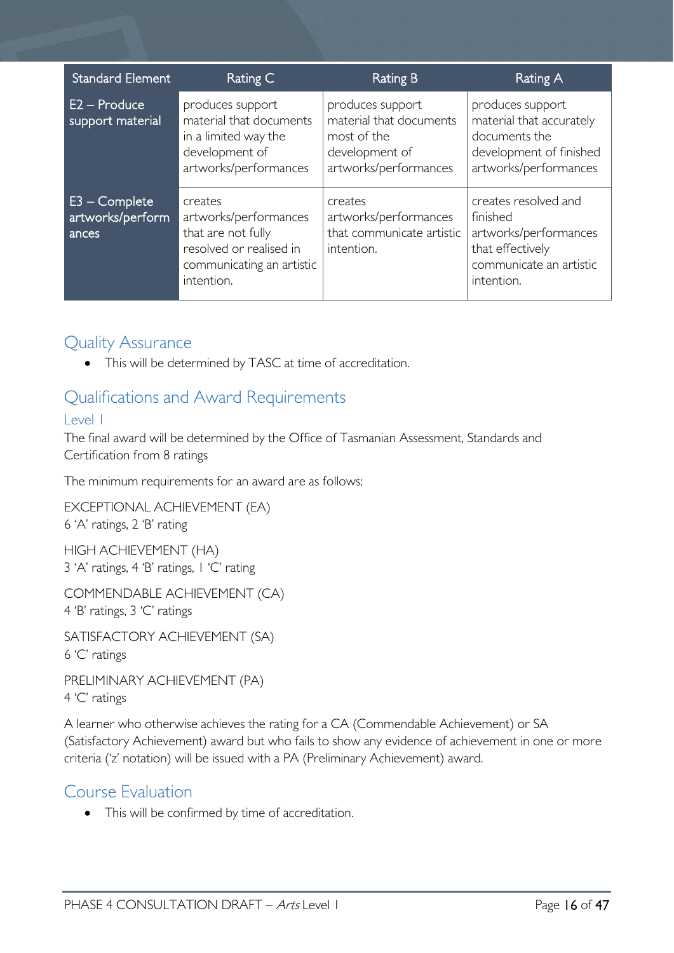| <b>Standard Element</b>                      | Rating C                                                                                                                     | <b>Rating B</b>                                                                                       | <b>Rating A</b>                                                                                                        |
|----------------------------------------------|------------------------------------------------------------------------------------------------------------------------------|-------------------------------------------------------------------------------------------------------|------------------------------------------------------------------------------------------------------------------------|
| $E2 -$ Produce<br>support material           | produces support<br>material that documents<br>in a limited way the<br>development of<br>artworks/performances               | produces support<br>material that documents<br>most of the<br>development of<br>artworks/performances | produces support<br>material that accurately<br>documents the<br>development of finished<br>artworks/performances      |
| $E3 - Complete$<br>artworks/perform<br>ances | creates<br>artworks/performances<br>that are not fully<br>resolved or realised in<br>communicating an artistic<br>intention. | creates<br>artworks/performances<br>that communicate artistic<br>intention.                           | creates resolved and<br>finished<br>artworks/performances<br>that effectively<br>communicate an artistic<br>intention. |

### <span id="page-15-0"></span>Quality Assurance

• This will be determined by TASC at time of accreditation.

### <span id="page-15-1"></span>Qualifications and Award Requirements

### <span id="page-15-2"></span>Level 1

The final award will be determined by the Office of Tasmanian Assessment, Standards and Certification from 8 ratings

The minimum requirements for an award are as follows:

EXCEPTIONAL ACHIEVEMENT (EA) 6 'A' ratings, 2 'B' rating

HIGH ACHIEVEMENT (HA) 3 'A' ratings, 4 'B' ratings, 1 'C' rating

COMMENDABLE ACHIEVEMENT (CA) 4 'B' ratings, 3 'C' ratings

SATISFACTORY ACHIEVEMENT (SA) 6 'C' ratings

PRELIMINARY ACHIEVEMENT (PA) 4 'C' ratings

A learner who otherwise achieves the rating for a CA (Commendable Achievement) or SA (Satisfactory Achievement) award but who fails to show any evidence of achievement in one or more criteria ('z' notation) will be issued with a PA (Preliminary Achievement) award.

### <span id="page-15-3"></span>Course Evaluation

• This will be confirmed by time of accreditation.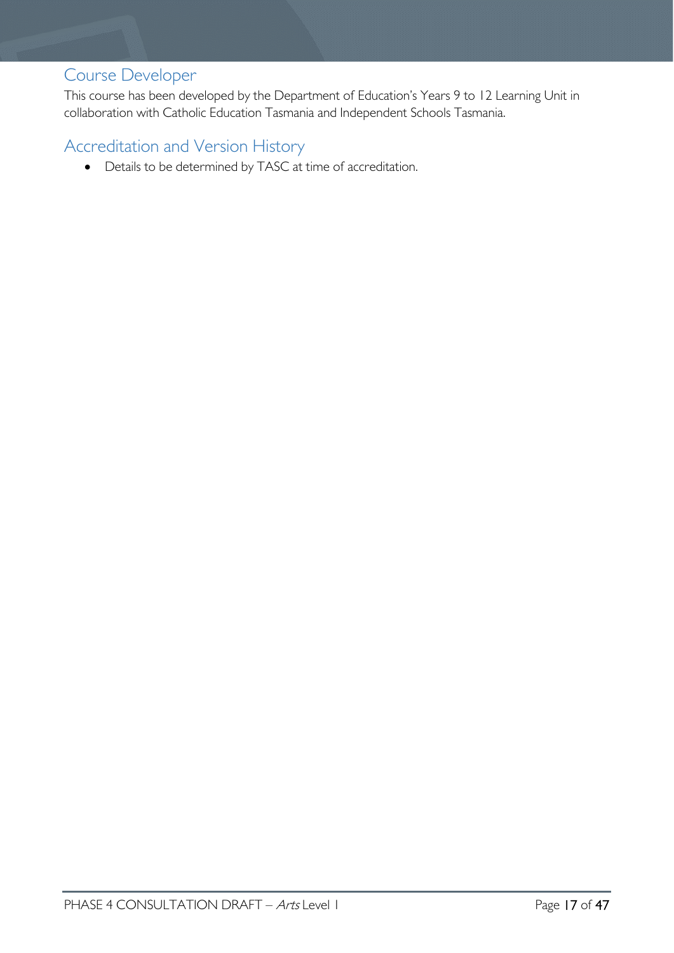### <span id="page-16-0"></span>Course Developer

This course has been developed by the Department of Education's Years 9 to 12 Learning Unit in collaboration with Catholic Education Tasmania and Independent Schools Tasmania.

### <span id="page-16-1"></span>Accreditation and Version History

• Details to be determined by TASC at time of accreditation.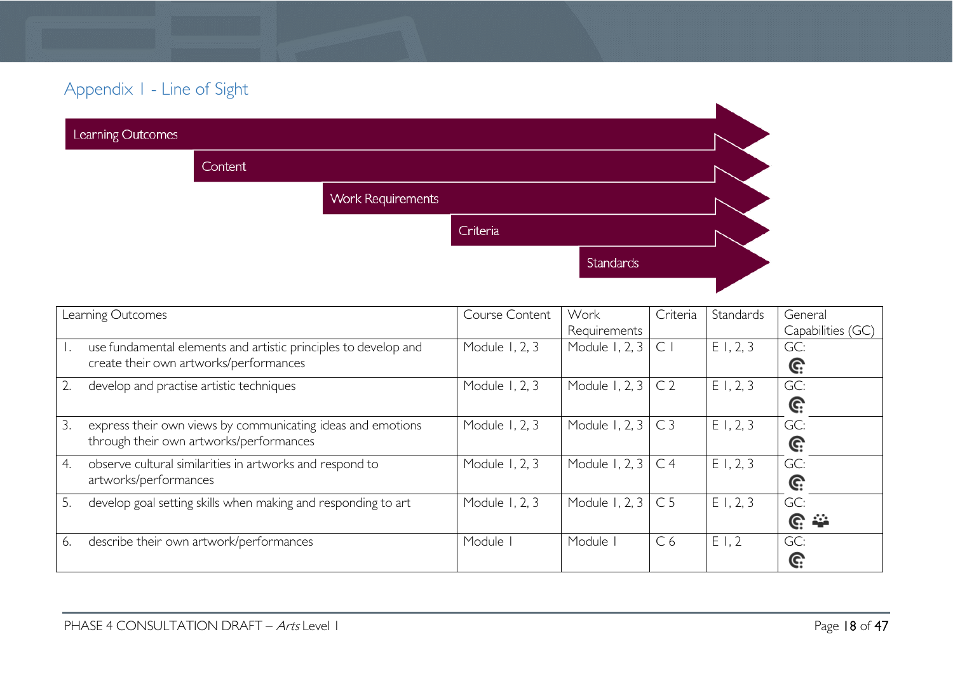## Appendix 1 - Line of Sight

| Learning Outcomes |         |                          |          |           |  |
|-------------------|---------|--------------------------|----------|-----------|--|
|                   | Content |                          |          |           |  |
|                   |         | <b>Work Requirements</b> |          |           |  |
|                   |         |                          | Criteria |           |  |
|                   |         |                          |          | Standards |  |
|                   |         |                          |          |           |  |

<span id="page-17-0"></span>

|    | Learning Outcomes                                                                                         | Course Content | Work           | Criteria       | Standards | General           |
|----|-----------------------------------------------------------------------------------------------------------|----------------|----------------|----------------|-----------|-------------------|
|    |                                                                                                           |                | Requirements   |                |           | Capabilities (GC) |
|    | use fundamental elements and artistic principles to develop and<br>create their own artworks/performances | Module 1, 2, 3 | Module 1, 2, 3 | $\mathsf{C}$   | E1, 2, 3  | GC:               |
|    |                                                                                                           |                |                |                |           | Ĝ.                |
|    | develop and practise artistic techniques                                                                  | Module 1, 2, 3 | Module 1, 2, 3 | C <sub>2</sub> | E1, 2, 3  | GC:               |
|    |                                                                                                           |                |                |                |           | G:                |
| 3. | express their own views by communicating ideas and emotions                                               | Module 1, 2, 3 | Module 1, 2, 3 | C <sub>3</sub> | E1, 2, 3  | GC:               |
|    | through their own artworks/performances                                                                   |                |                |                |           | G:                |
| 4. | observe cultural similarities in artworks and respond to                                                  | Module 1, 2, 3 | Module 1, 2, 3 | C <sub>4</sub> | E1, 2, 3  | GC:               |
|    | artworks/performances                                                                                     |                |                |                |           | G:                |
| 5. | develop goal setting skills when making and responding to art                                             | Module 1, 2, 3 | Module 1, 2, 3 | C <sub>5</sub> | E1, 2, 3  | GC:               |
|    |                                                                                                           |                |                |                |           | <u>ଙ୍</u>         |
| 6. | describe their own artwork/performances                                                                   | Module I       | Module         | C <sub>6</sub> | E1,2      | GC:               |
|    |                                                                                                           |                |                |                |           | G:                |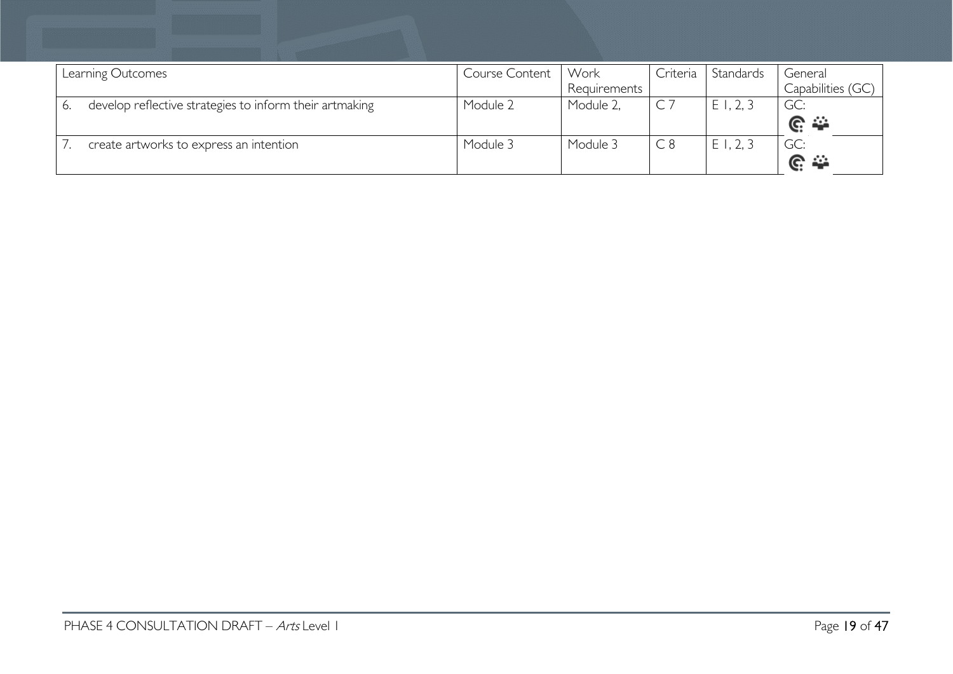| Learning Outcomes |                                                         | Course Content | Work         | Criteria | Standards    | General            |
|-------------------|---------------------------------------------------------|----------------|--------------|----------|--------------|--------------------|
|                   |                                                         |                | Requirements |          |              | Capabilities (GC)  |
|                   | develop reflective strategies to inform their artmaking | Module 2       | Module 2,    | $C$ 7    | , 2, 3<br>ΕI | GC:                |
|                   |                                                         |                |              |          |              | $\mathbb{C} \cong$ |
|                   | create artworks to express an intention                 | Module 3       | Module 3     | C8       | , 2, 3<br>ΕI | GC:                |
|                   |                                                         |                |              |          |              | $C \cong$          |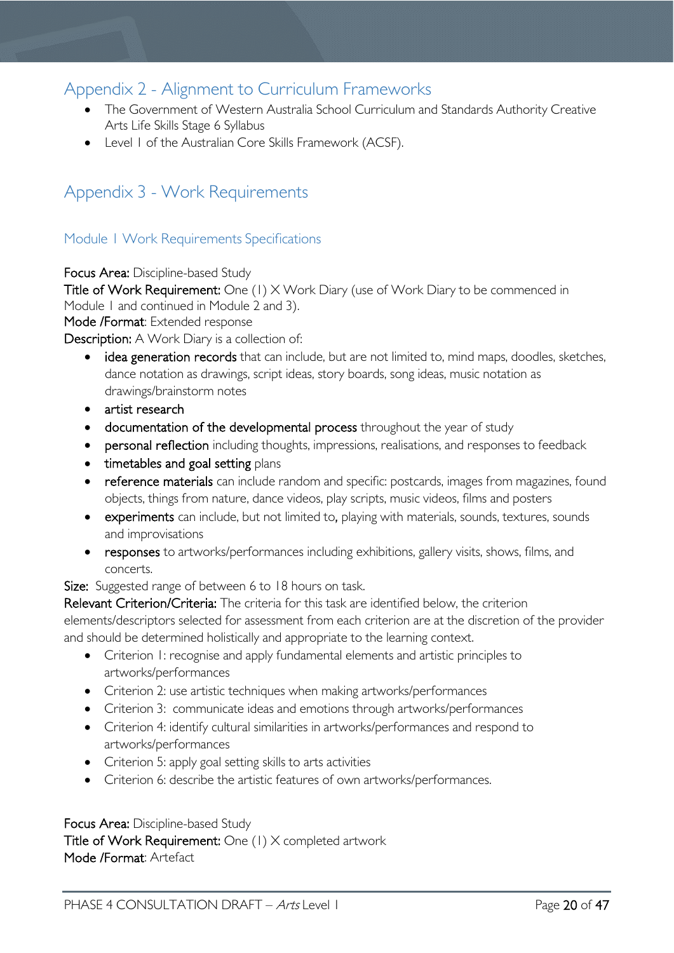### <span id="page-19-0"></span>Appendix 2 - Alignment to Curriculum Frameworks

- The Government of Western Australia School Curriculum and Standards Authority Creative Arts Life Skills Stage 6 Syllabus
- Level 1 of the Australian Core Skills Framework (ACSF).

### <span id="page-19-1"></span>Appendix 3 - Work Requirements

### <span id="page-19-2"></span>Module 1 Work Requirements Specifications

Focus Area: Discipline-based Study

Title of Work Requirement: One (1) X Work Diary (use of Work Diary to be commenced in Module 1 and continued in Module 2 and 3).

Mode /Format: Extended response

Description: A Work Diary is a collection of:

- idea generation records that can include, but are not limited to, mind maps, doodles, sketches, dance notation as drawings, script ideas, story boards, song ideas, music notation as drawings/brainstorm notes
- artist research
- documentation of the developmental process throughout the year of study
- personal reflection including thoughts, impressions, realisations, and responses to feedback
- timetables and goal setting plans
- reference materials can include random and specific: postcards, images from magazines, found objects, things from nature, dance videos, play scripts, music videos, films and posters
- experiments can include, but not limited to, playing with materials, sounds, textures, sounds and improvisations
- responses to artworks/performances including exhibitions, gallery visits, shows, films, and concerts.

Size: Suggested range of between 6 to 18 hours on task.

Relevant Criterion/Criteria: The criteria for this task are identified below, the criterion elements/descriptors selected for assessment from each criterion are at the discretion of the provider and should be determined holistically and appropriate to the learning context.

- Criterion 1: recognise and apply fundamental elements and artistic principles to artworks/performances
- Criterion 2: use artistic techniques when making artworks/performances
- Criterion 3: communicate ideas and emotions through artworks/performances
- Criterion 4: identify cultural similarities in artworks/performances and respond to artworks/performances
- Criterion 5: apply goal setting skills to arts activities
- Criterion 6: describe the artistic features of own artworks/performances.

### Focus Area: Discipline-based Study

Title of Work Requirement: One (1) X completed artwork Mode /Format: Artefact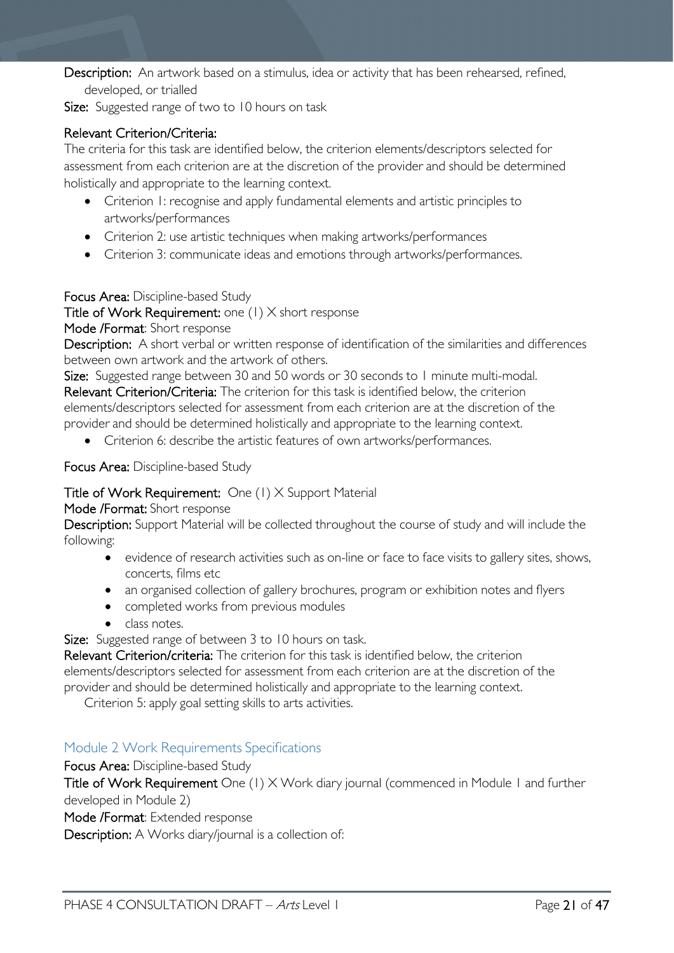Description: An artwork based on a stimulus, idea or activity that has been rehearsed, refined, developed, or trialled

Size: Suggested range of two to 10 hours on task

### Relevant Criterion/Criteria:

The criteria for this task are identified below, the criterion elements/descriptors selected for assessment from each criterion are at the discretion of the provider and should be determined holistically and appropriate to the learning context.

- Criterion 1: recognise and apply fundamental elements and artistic principles to artworks/performances
- Criterion 2: use artistic techniques when making artworks/performances
- Criterion 3: communicate ideas and emotions through artworks/performances.

### Focus Area: Discipline-based Study

Title of Work Requirement: one (1) X short response

### Mode /Format: Short response

Description: A short verbal or written response of identification of the similarities and differences between own artwork and the artwork of others.

Size: Suggested range between 30 and 50 words or 30 seconds to 1 minute multi-modal. Relevant Criterion/Criteria: The criterion for this task is identified below, the criterion elements/descriptors selected for assessment from each criterion are at the discretion of the provider and should be determined holistically and appropriate to the learning context.

• Criterion 6: describe the artistic features of own artworks/performances.

Focus Area: Discipline-based Study

### Title of Work Requirement: One (1) X Support Material

#### Mode /Format: Short response

Description: Support Material will be collected throughout the course of study and will include the following:

- evidence of research activities such as on-line or face to face visits to gallery sites, shows, concerts, films etc
- an organised collection of gallery brochures, program or exhibition notes and flyers
- completed works from previous modules
- class notes.

Size: Suggested range of between 3 to 10 hours on task.

Relevant Criterion/criteria: The criterion for this task is identified below, the criterion elements/descriptors selected for assessment from each criterion are at the discretion of the provider and should be determined holistically and appropriate to the learning context.

Criterion 5: apply goal setting skills to arts activities.

### <span id="page-20-0"></span>Module 2 Work Requirements Specifications

Focus Area: Discipline-based Study

Title of Work Requirement One (1) X Work diary journal (commenced in Module 1 and further developed in Module 2)

Mode /Format: Extended response

Description: A Works diary/journal is a collection of: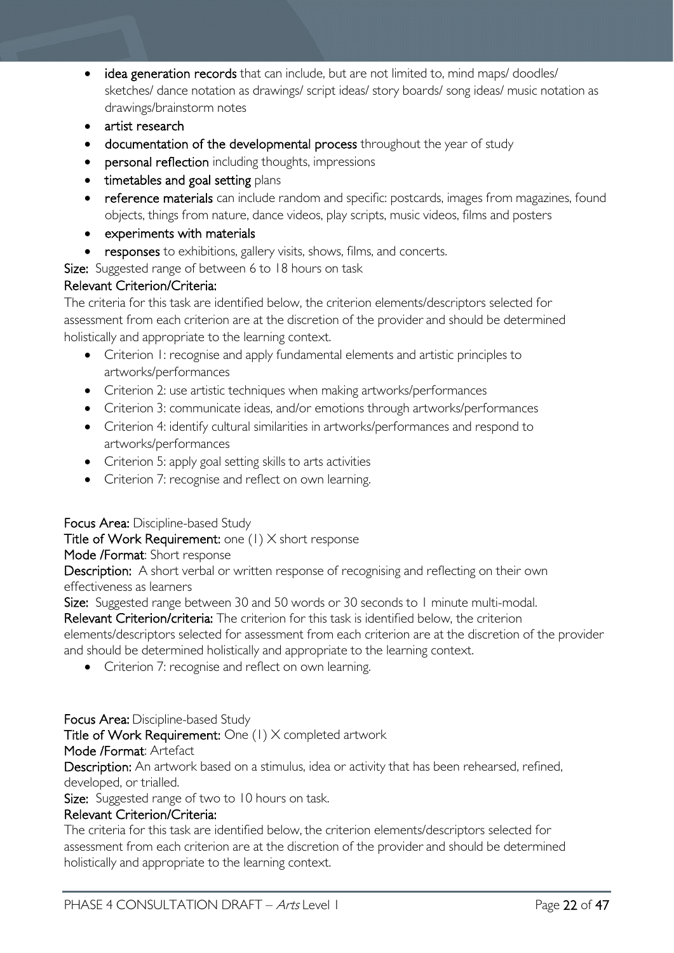- idea generation records that can include, but are not limited to, mind maps/ doodles/ sketches/ dance notation as drawings/ script ideas/ story boards/ song ideas/ music notation as drawings/brainstorm notes
- artist research
- documentation of the developmental process throughout the year of study
- personal reflection including thoughts, impressions
- timetables and goal setting plans
- reference materials can include random and specific: postcards, images from magazines, found objects, things from nature, dance videos, play scripts, music videos, films and posters
- experiments with materials
- responses to exhibitions, gallery visits, shows, films, and concerts.

Size: Suggested range of between 6 to 18 hours on task

### Relevant Criterion/Criteria:

The criteria for this task are identified below, the criterion elements/descriptors selected for assessment from each criterion are at the discretion of the provider and should be determined holistically and appropriate to the learning context.

- Criterion 1: recognise and apply fundamental elements and artistic principles to artworks/performances
- Criterion 2: use artistic techniques when making artworks/performances
- Criterion 3: communicate ideas, and/or emotions through artworks/performances
- Criterion 4: identify cultural similarities in artworks/performances and respond to artworks/performances
- Criterion 5: apply goal setting skills to arts activities
- Criterion 7: recognise and reflect on own learning.

### Focus Area: Discipline-based Study

### Title of Work Requirement: one (1) X short response

Mode /Format: Short response

Description: A short verbal or written response of recognising and reflecting on their own effectiveness as learners

Size: Suggested range between 30 and 50 words or 30 seconds to 1 minute multi-modal.

Relevant Criterion/criteria: The criterion for this task is identified below, the criterion elements/descriptors selected for assessment from each criterion are at the discretion of the provider and should be determined holistically and appropriate to the learning context.

• Criterion 7: recognise and reflect on own learning.

### Focus Area: Discipline-based Study

Title of Work Requirement: One (1) X completed artwork

### Mode /Format: Artefact

Description: An artwork based on a stimulus, idea or activity that has been rehearsed, refined, developed, or trialled.

Size: Suggested range of two to 10 hours on task.

### Relevant Criterion/Criteria:

The criteria for this task are identified below, the criterion elements/descriptors selected for assessment from each criterion are at the discretion of the provider and should be determined holistically and appropriate to the learning context.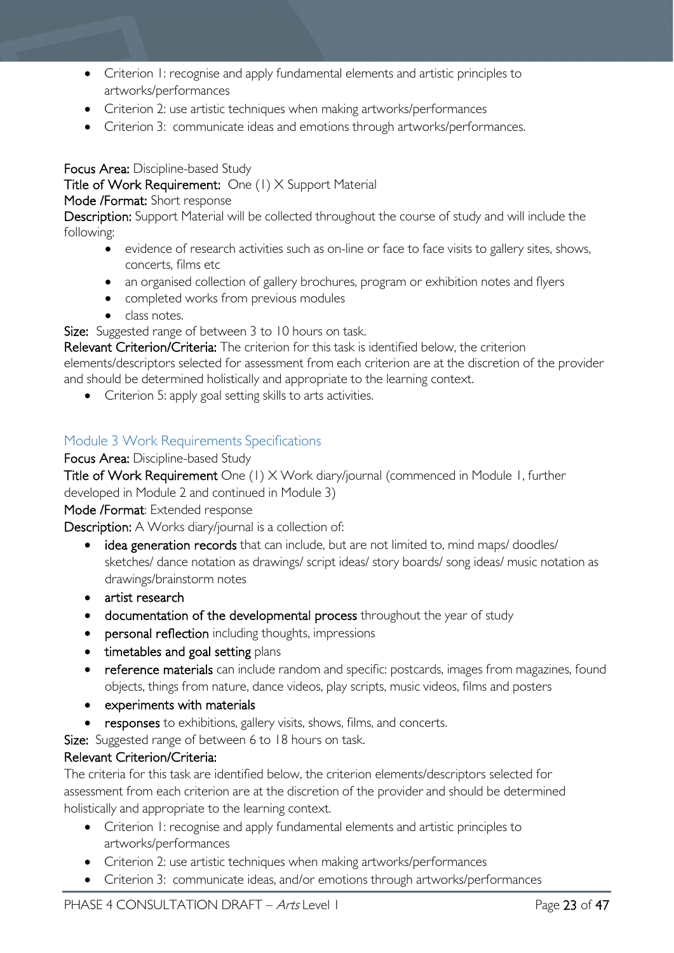- Criterion 1: recognise and apply fundamental elements and artistic principles to artworks/performances
- Criterion 2: use artistic techniques when making artworks/performances
- Criterion 3: communicate ideas and emotions through artworks/performances.

Focus Area: Discipline-based Study

Title of Work Requirement: One (1) X Support Material

### Mode /Format: Short response

Description: Support Material will be collected throughout the course of study and will include the following:

- evidence of research activities such as on-line or face to face visits to gallery sites, shows, concerts, films etc
- an organised collection of gallery brochures, program or exhibition notes and flyers
- completed works from previous modules
- class notes.

Size: Suggested range of between 3 to 10 hours on task.

Relevant Criterion/Criteria: The criterion for this task is identified below, the criterion elements/descriptors selected for assessment from each criterion are at the discretion of the provider and should be determined holistically and appropriate to the learning context.

• Criterion 5: apply goal setting skills to arts activities.

### <span id="page-22-0"></span>Module 3 Work Requirements Specifications

### Focus Area: Discipline-based Study

Title of Work Requirement One (1) X Work diary/journal (commenced in Module 1, further developed in Module 2 and continued in Module 3)

Mode /Format: Extended response

Description: A Works diary/journal is a collection of:

- idea generation records that can include, but are not limited to, mind maps/ doodles/ sketches/ dance notation as drawings/ script ideas/ story boards/ song ideas/ music notation as drawings/brainstorm notes
- artist research
- documentation of the developmental process throughout the year of study
- personal reflection including thoughts, impressions
- timetables and goal setting plans
- reference materials can include random and specific: postcards, images from magazines, found objects, things from nature, dance videos, play scripts, music videos, films and posters
- experiments with materials
- responses to exhibitions, gallery visits, shows, films, and concerts.

Size: Suggested range of between 6 to 18 hours on task.

### Relevant Criterion/Criteria:

The criteria for this task are identified below, the criterion elements/descriptors selected for assessment from each criterion are at the discretion of the provider and should be determined holistically and appropriate to the learning context.

- Criterion 1: recognise and apply fundamental elements and artistic principles to artworks/performances
- Criterion 2: use artistic techniques when making artworks/performances
- Criterion 3: communicate ideas, and/or emotions through artworks/performances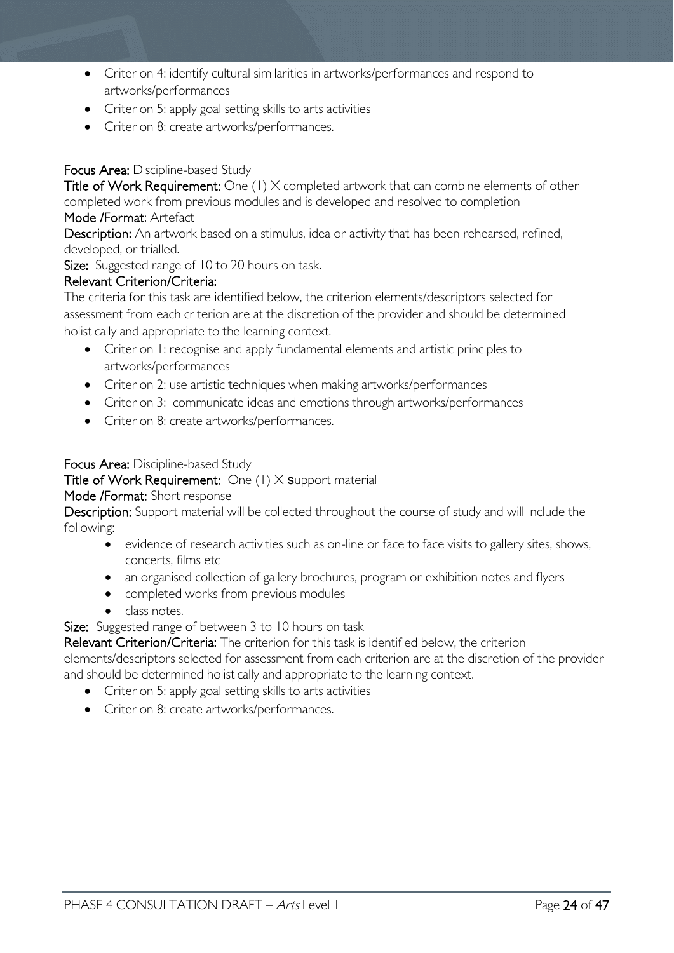- Criterion 4: identify cultural similarities in artworks/performances and respond to artworks/performances
- Criterion 5: apply goal setting skills to arts activities
- Criterion 8: create artworks/performances.

### Focus Area: Discipline-based Study

Title of Work Requirement: One (1) X completed artwork that can combine elements of other completed work from previous modules and is developed and resolved to completion

### Mode /Format: Artefact

Description: An artwork based on a stimulus, idea or activity that has been rehearsed, refined, developed, or trialled.

Size: Suggested range of 10 to 20 hours on task.

### Relevant Criterion/Criteria:

The criteria for this task are identified below, the criterion elements/descriptors selected for assessment from each criterion are at the discretion of the provider and should be determined holistically and appropriate to the learning context.

- Criterion 1: recognise and apply fundamental elements and artistic principles to artworks/performances
- Criterion 2: use artistic techniques when making artworks/performances
- Criterion 3: communicate ideas and emotions through artworks/performances
- Criterion 8: create artworks/performances.

### Focus Area: Discipline-based Study

Title of Work Requirement: One  $(1)$  X support material

### Mode /Format: Short response

Description: Support material will be collected throughout the course of study and will include the following:

- evidence of research activities such as on-line or face to face visits to gallery sites, shows, concerts, films etc
- an organised collection of gallery brochures, program or exhibition notes and flyers
- completed works from previous modules
- class notes.

Size: Suggested range of between 3 to 10 hours on task

Relevant Criterion/Criteria: The criterion for this task is identified below, the criterion

elements/descriptors selected for assessment from each criterion are at the discretion of the provider and should be determined holistically and appropriate to the learning context.

- Criterion 5: apply goal setting skills to arts activities
- Criterion 8: create artworks/performances.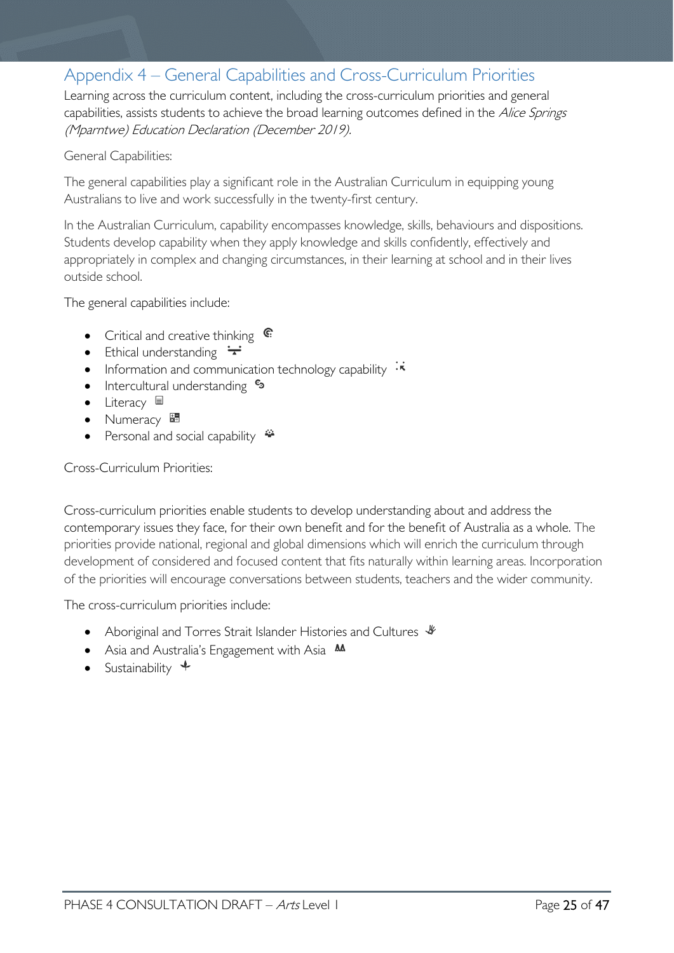### <span id="page-24-0"></span>Appendix 4 – General Capabilities and Cross-Curriculum Priorities

Learning across the curriculum content, including the cross-curriculum priorities and general capabilities, assists students to achieve the broad learning outcomes defined in the Alice Springs (Mparntwe) Education Declaration (December 2019).

#### General Capabilities:

The general capabilities play a significant role in the Australian Curriculum in equipping young Australians to live and work successfully in the twenty-first century.

In the Australian Curriculum, capability encompasses knowledge, skills, behaviours and dispositions. Students develop capability when they apply knowledge and skills confidently, effectively and appropriately in complex and changing circumstances, in their learning at school and in their lives outside school.

The general capabilities include:

- Critical and creative thinking  $\mathbb{C}$
- Ethical understanding  $\div$
- Information and communication technology capability  $\cdot \star$
- Intercultural understanding •
- Literacy  $\blacksquare$
- Numeracy
- Personal and social capability

### Cross-Curriculum Priorities:

Cross-curriculum priorities enable students to develop understanding about and address the contemporary issues they face, for their own benefit and for the benefit of Australia as a whole. The priorities provide national, regional and global dimensions which will enrich the curriculum through development of considered and focused content that fits naturally within learning areas. Incorporation of the priorities will encourage conversations between students, teachers and the wider community.

The cross-curriculum priorities include:

- Aboriginal and Torres Strait Islander Histories and Cultures  $\mathcal$
- Asia and Australia's Engagement with Asia **MA**
- Sustainability  $\triangleleft$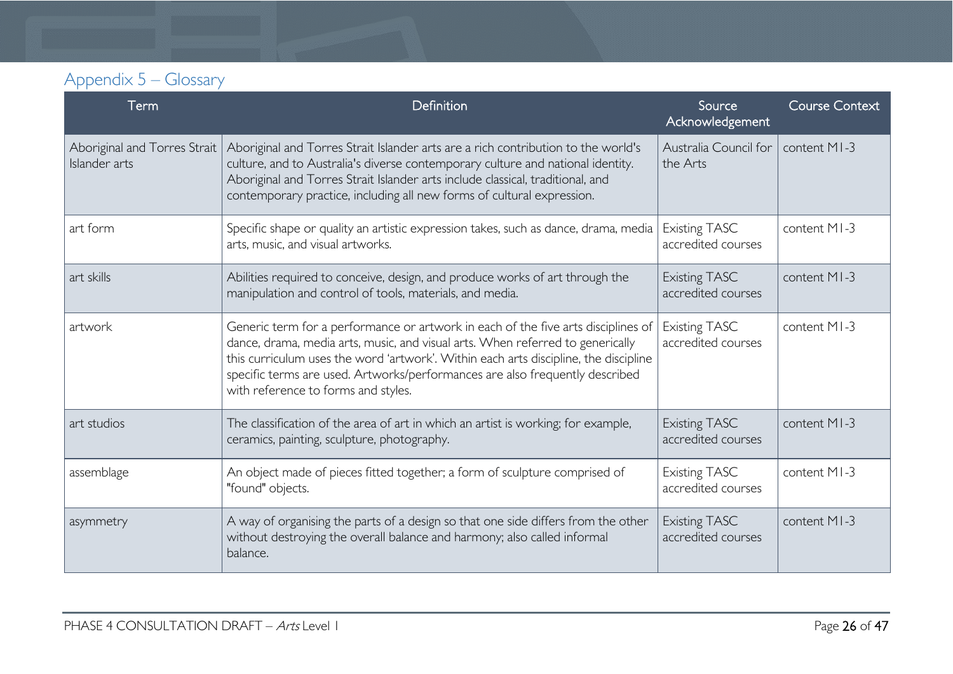## Appendix 5 – Glossary

<span id="page-25-0"></span>

| Term                                          | Definition                                                                                                                                                                                                                                                                                                                                                                         | Source<br>Acknowledgement                  | <b>Course Context</b> |
|-----------------------------------------------|------------------------------------------------------------------------------------------------------------------------------------------------------------------------------------------------------------------------------------------------------------------------------------------------------------------------------------------------------------------------------------|--------------------------------------------|-----------------------|
| Aboriginal and Torres Strait<br>Islander arts | Aboriginal and Torres Strait Islander arts are a rich contribution to the world's<br>culture, and to Australia's diverse contemporary culture and national identity.<br>Aboriginal and Torres Strait Islander arts include classical, traditional, and<br>contemporary practice, including all new forms of cultural expression.                                                   | Australia Council for<br>the Arts          | content MI-3          |
| art form                                      | Specific shape or quality an artistic expression takes, such as dance, drama, media<br>arts, music, and visual artworks.                                                                                                                                                                                                                                                           | <b>Existing TASC</b><br>accredited courses | content MI-3          |
| art skills                                    | Abilities required to conceive, design, and produce works of art through the<br>manipulation and control of tools, materials, and media.                                                                                                                                                                                                                                           | <b>Existing TASC</b><br>accredited courses | content MI-3          |
| artwork                                       | Generic term for a performance or artwork in each of the five arts disciplines of<br>dance, drama, media arts, music, and visual arts. When referred to generically<br>this curriculum uses the word 'artwork'. Within each arts discipline, the discipline<br>specific terms are used. Artworks/performances are also frequently described<br>with reference to forms and styles. | <b>Existing TASC</b><br>accredited courses | content MI-3          |
| art studios                                   | The classification of the area of art in which an artist is working; for example,<br>ceramics, painting, sculpture, photography.                                                                                                                                                                                                                                                   | <b>Existing TASC</b><br>accredited courses | content MI-3          |
| assemblage                                    | An object made of pieces fitted together; a form of sculpture comprised of<br>"found" objects.                                                                                                                                                                                                                                                                                     | <b>Existing TASC</b><br>accredited courses | content MI-3          |
| asymmetry                                     | A way of organising the parts of a design so that one side differs from the other<br>without destroying the overall balance and harmony; also called informal<br>balance.                                                                                                                                                                                                          | <b>Existing TASC</b><br>accredited courses | content MI-3          |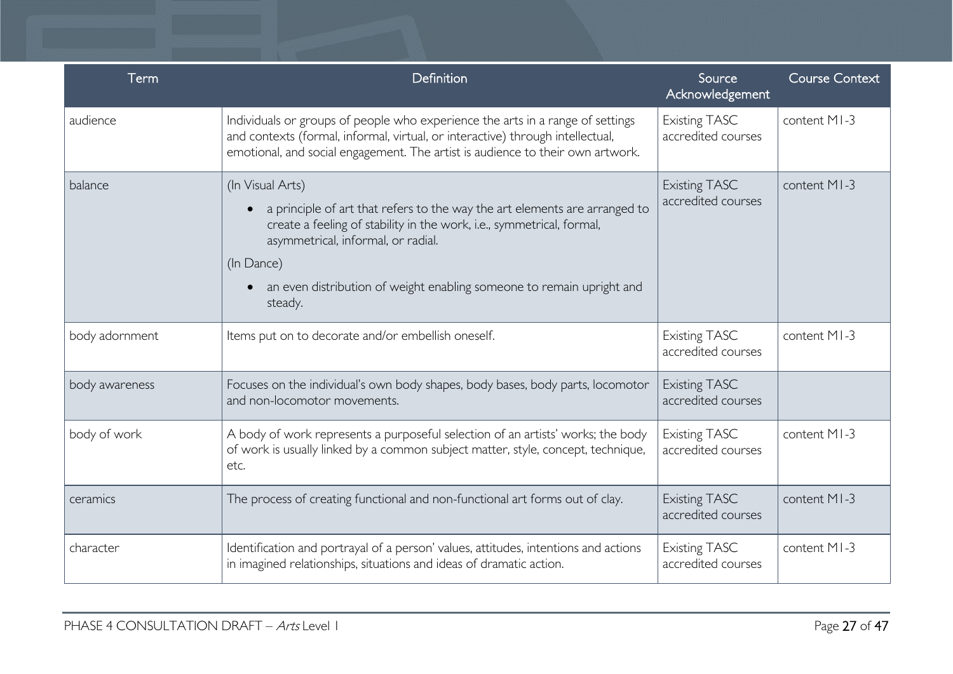| <b>Term</b>    | Definition                                                                                                                                                                                                                                                                                                      | Source<br>Acknowledgement                  | <b>Course Context</b> |
|----------------|-----------------------------------------------------------------------------------------------------------------------------------------------------------------------------------------------------------------------------------------------------------------------------------------------------------------|--------------------------------------------|-----------------------|
| audience       | Individuals or groups of people who experience the arts in a range of settings<br>and contexts (formal, informal, virtual, or interactive) through intellectual,<br>emotional, and social engagement. The artist is audience to their own artwork.                                                              | <b>Existing TASC</b><br>accredited courses | content MI-3          |
| balance        | (In Visual Arts)<br>a principle of art that refers to the way the art elements are arranged to<br>create a feeling of stability in the work, i.e., symmetrical, formal,<br>asymmetrical, informal, or radial.<br>(In Dance)<br>an even distribution of weight enabling someone to remain upright and<br>steady. | <b>Existing TASC</b><br>accredited courses | content MI-3          |
| body adornment | Items put on to decorate and/or embellish oneself.                                                                                                                                                                                                                                                              | <b>Existing TASC</b><br>accredited courses | content MI-3          |
| body awareness | Focuses on the individual's own body shapes, body bases, body parts, locomotor<br>and non-locomotor movements.                                                                                                                                                                                                  | <b>Existing TASC</b><br>accredited courses |                       |
| body of work   | A body of work represents a purposeful selection of an artists' works; the body<br>of work is usually linked by a common subject matter, style, concept, technique,<br>etc.                                                                                                                                     | <b>Existing TASC</b><br>accredited courses | content MI-3          |
| ceramics       | The process of creating functional and non-functional art forms out of clay.                                                                                                                                                                                                                                    | <b>Existing TASC</b><br>accredited courses | content MI-3          |
| character      | Identification and portrayal of a person' values, attitudes, intentions and actions<br>in imagined relationships, situations and ideas of dramatic action.                                                                                                                                                      | <b>Existing TASC</b><br>accredited courses | content MI-3          |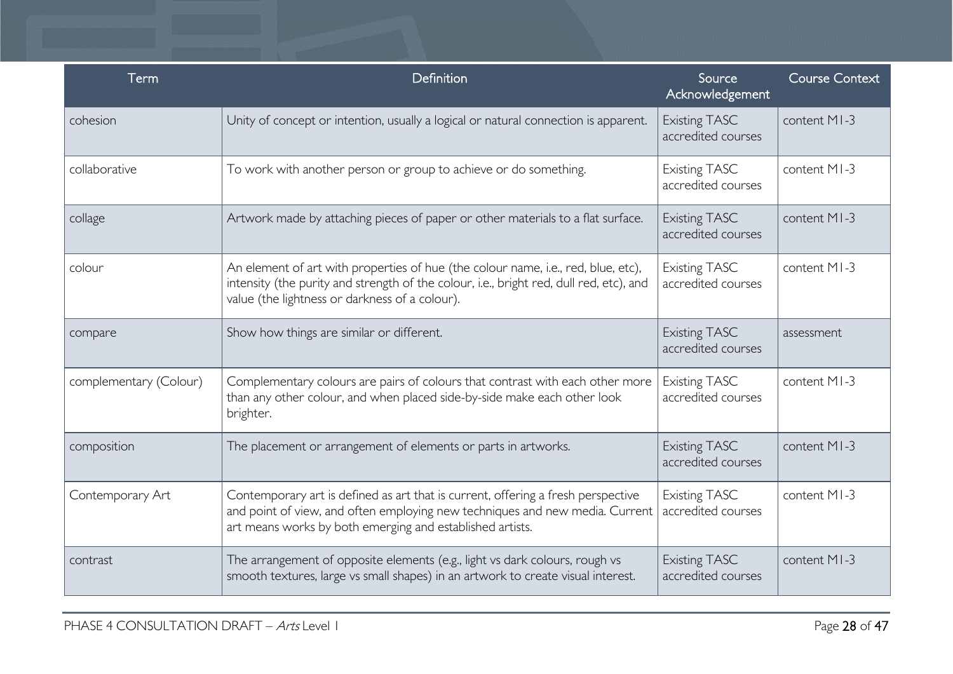| Term                   | Definition                                                                                                                                                                                                                     | Source<br>Acknowledgement                  | <b>Course Context</b> |
|------------------------|--------------------------------------------------------------------------------------------------------------------------------------------------------------------------------------------------------------------------------|--------------------------------------------|-----------------------|
| cohesion               | Unity of concept or intention, usually a logical or natural connection is apparent.                                                                                                                                            | <b>Existing TASC</b><br>accredited courses | content MI-3          |
| collaborative          | To work with another person or group to achieve or do something.                                                                                                                                                               | <b>Existing TASC</b><br>accredited courses | content MI-3          |
| collage                | Artwork made by attaching pieces of paper or other materials to a flat surface.                                                                                                                                                | <b>Existing TASC</b><br>accredited courses | content MI-3          |
| colour                 | An element of art with properties of hue (the colour name, i.e., red, blue, etc),<br>intensity (the purity and strength of the colour, i.e., bright red, dull red, etc), and<br>value (the lightness or darkness of a colour). | <b>Existing TASC</b><br>accredited courses | content MI-3          |
| compare                | Show how things are similar or different.                                                                                                                                                                                      | <b>Existing TASC</b><br>accredited courses | assessment            |
| complementary (Colour) | Complementary colours are pairs of colours that contrast with each other more<br>than any other colour, and when placed side-by-side make each other look<br>brighter.                                                         | <b>Existing TASC</b><br>accredited courses | content MI-3          |
| composition            | The placement or arrangement of elements or parts in artworks.                                                                                                                                                                 | <b>Existing TASC</b><br>accredited courses | content MI-3          |
| Contemporary Art       | Contemporary art is defined as art that is current, offering a fresh perspective<br>and point of view, and often employing new techniques and new media. Current<br>art means works by both emerging and established artists.  | <b>Existing TASC</b><br>accredited courses | content MI-3          |
| contrast               | The arrangement of opposite elements (e.g., light vs dark colours, rough vs<br>smooth textures, large vs small shapes) in an artwork to create visual interest.                                                                | <b>Existing TASC</b><br>accredited courses | content MI-3          |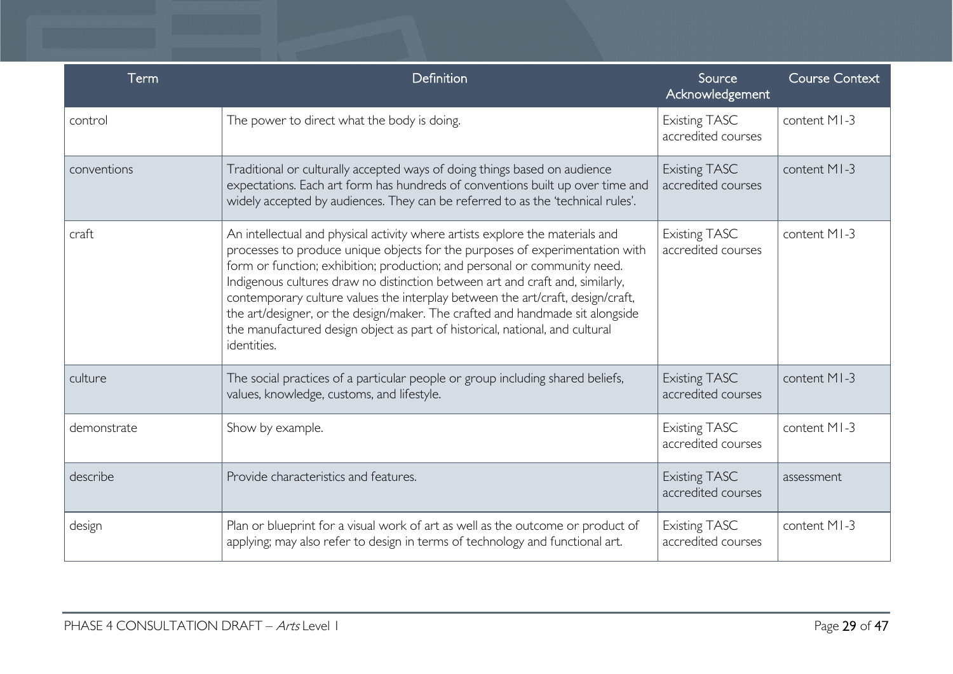| Term        | Definition                                                                                                                                                                                                                                                                                                                                                                                                                                                                                                                                                                                    | Source<br>Acknowledgement                  | <b>Course Context</b> |
|-------------|-----------------------------------------------------------------------------------------------------------------------------------------------------------------------------------------------------------------------------------------------------------------------------------------------------------------------------------------------------------------------------------------------------------------------------------------------------------------------------------------------------------------------------------------------------------------------------------------------|--------------------------------------------|-----------------------|
| control     | The power to direct what the body is doing.                                                                                                                                                                                                                                                                                                                                                                                                                                                                                                                                                   | <b>Existing TASC</b><br>accredited courses | content MI-3          |
| conventions | Traditional or culturally accepted ways of doing things based on audience<br>expectations. Each art form has hundreds of conventions built up over time and<br>widely accepted by audiences. They can be referred to as the 'technical rules'.                                                                                                                                                                                                                                                                                                                                                | <b>Existing TASC</b><br>accredited courses | content MI-3          |
| craft       | An intellectual and physical activity where artists explore the materials and<br>processes to produce unique objects for the purposes of experimentation with<br>form or function; exhibition; production; and personal or community need.<br>Indigenous cultures draw no distinction between art and craft and, similarly,<br>contemporary culture values the interplay between the art/craft, design/craft,<br>the art/designer, or the design/maker. The crafted and handmade sit alongside<br>the manufactured design object as part of historical, national, and cultural<br>identities. | <b>Existing TASC</b><br>accredited courses | content MI-3          |
| culture     | The social practices of a particular people or group including shared beliefs,<br>values, knowledge, customs, and lifestyle.                                                                                                                                                                                                                                                                                                                                                                                                                                                                  | <b>Existing TASC</b><br>accredited courses | content MI-3          |
| demonstrate | Show by example.                                                                                                                                                                                                                                                                                                                                                                                                                                                                                                                                                                              | <b>Existing TASC</b><br>accredited courses | content MI-3          |
| describe    | Provide characteristics and features.                                                                                                                                                                                                                                                                                                                                                                                                                                                                                                                                                         | <b>Existing TASC</b><br>accredited courses | assessment            |
| design      | Plan or blueprint for a visual work of art as well as the outcome or product of<br>applying; may also refer to design in terms of technology and functional art.                                                                                                                                                                                                                                                                                                                                                                                                                              | <b>Existing TASC</b><br>accredited courses | content MI-3          |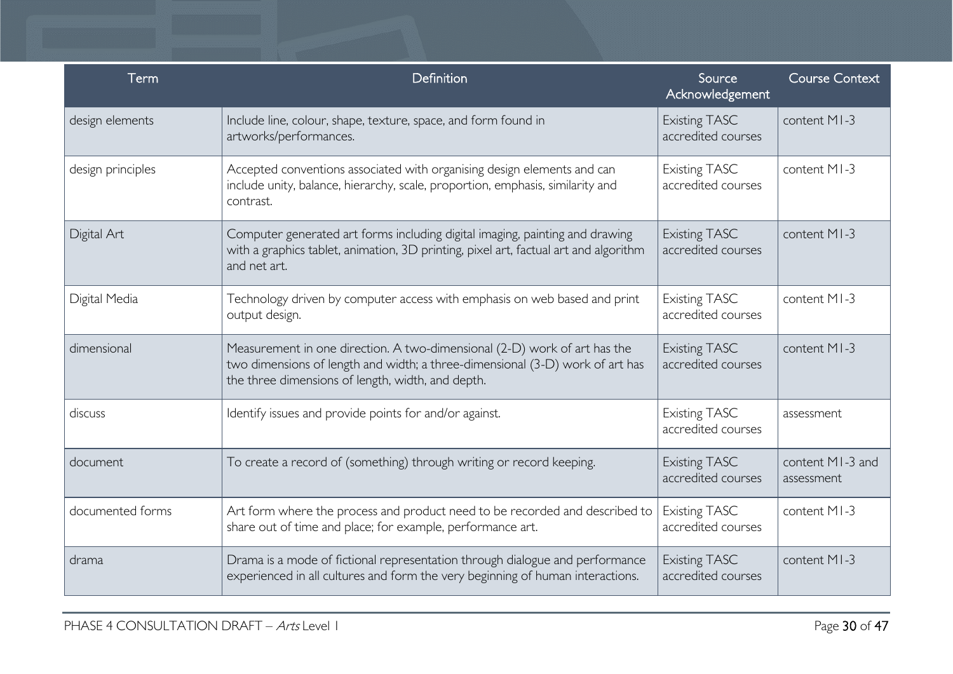| Term              | Definition                                                                                                                                                                                                      | Source<br>Acknowledgement                  | <b>Course Context</b>          |
|-------------------|-----------------------------------------------------------------------------------------------------------------------------------------------------------------------------------------------------------------|--------------------------------------------|--------------------------------|
| design elements   | Include line, colour, shape, texture, space, and form found in<br>artworks/performances.                                                                                                                        | <b>Existing TASC</b><br>accredited courses | content MI-3                   |
| design principles | Accepted conventions associated with organising design elements and can<br>include unity, balance, hierarchy, scale, proportion, emphasis, similarity and<br>contrast.                                          | <b>Existing TASC</b><br>accredited courses | content MI-3                   |
| Digital Art       | Computer generated art forms including digital imaging, painting and drawing<br>with a graphics tablet, animation, 3D printing, pixel art, factual art and algorithm<br>and net art.                            | <b>Existing TASC</b><br>accredited courses | content MI-3                   |
| Digital Media     | Technology driven by computer access with emphasis on web based and print<br>output design.                                                                                                                     | <b>Existing TASC</b><br>accredited courses | content MI-3                   |
| dimensional       | Measurement in one direction. A two-dimensional (2-D) work of art has the<br>two dimensions of length and width; a three-dimensional (3-D) work of art has<br>the three dimensions of length, width, and depth. | <b>Existing TASC</b><br>accredited courses | content MI-3                   |
| discuss           | Identify issues and provide points for and/or against.                                                                                                                                                          | <b>Existing TASC</b><br>accredited courses | assessment                     |
| document          | To create a record of (something) through writing or record keeping.                                                                                                                                            | <b>Existing TASC</b><br>accredited courses | content MI-3 and<br>assessment |
| documented forms  | Art form where the process and product need to be recorded and described to<br>share out of time and place; for example, performance art.                                                                       | <b>Existing TASC</b><br>accredited courses | content MI-3                   |
| drama             | Drama is a mode of fictional representation through dialogue and performance<br>experienced in all cultures and form the very beginning of human interactions.                                                  | <b>Existing TASC</b><br>accredited courses | content MI-3                   |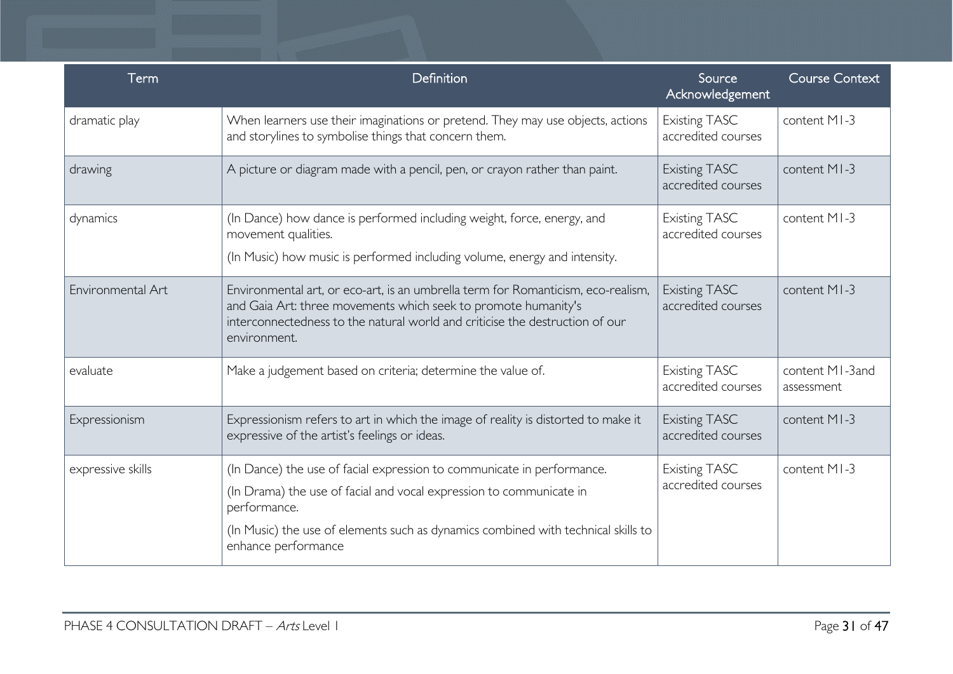| Term              | Definition                                                                                                                                                                                                                                                                | Source<br>Acknowledgement                  | <b>Course Context</b>         |
|-------------------|---------------------------------------------------------------------------------------------------------------------------------------------------------------------------------------------------------------------------------------------------------------------------|--------------------------------------------|-------------------------------|
| dramatic play     | When learners use their imaginations or pretend. They may use objects, actions<br>and storylines to symbolise things that concern them.                                                                                                                                   | <b>Existing TASC</b><br>accredited courses | content MI-3                  |
| drawing           | A picture or diagram made with a pencil, pen, or crayon rather than paint.                                                                                                                                                                                                | <b>Existing TASC</b><br>accredited courses | content MI-3                  |
| dynamics          | (In Dance) how dance is performed including weight, force, energy, and<br>movement qualities.<br>(In Music) how music is performed including volume, energy and intensity.                                                                                                | <b>Existing TASC</b><br>accredited courses | content MI-3                  |
| Environmental Art | Environmental art, or eco-art, is an umbrella term for Romanticism, eco-realism,<br>and Gaia Art: three movements which seek to promote humanity's<br>interconnectedness to the natural world and criticise the destruction of our<br>environment.                        | <b>Existing TASC</b><br>accredited courses | content MI-3                  |
| evaluate          | Make a judgement based on criteria; determine the value of.                                                                                                                                                                                                               | <b>Existing TASC</b><br>accredited courses | content MI-3and<br>assessment |
| Expressionism     | Expressionism refers to art in which the image of reality is distorted to make it<br>expressive of the artist's feelings or ideas.                                                                                                                                        | <b>Existing TASC</b><br>accredited courses | content MI-3                  |
| expressive skills | (In Dance) the use of facial expression to communicate in performance.<br>(In Drama) the use of facial and vocal expression to communicate in<br>performance.<br>(In Music) the use of elements such as dynamics combined with technical skills to<br>enhance performance | <b>Existing TASC</b><br>accredited courses | content MI-3                  |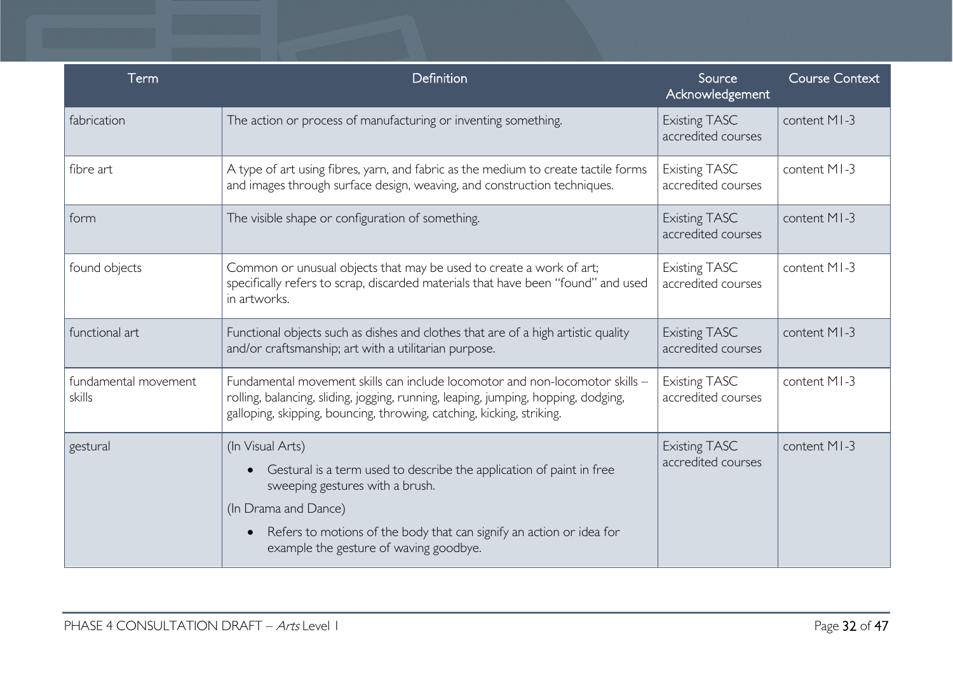| Term                           | Definition                                                                                                                                                                                                                                                            | Source<br>Acknowledgement                  | <b>Course Context</b> |
|--------------------------------|-----------------------------------------------------------------------------------------------------------------------------------------------------------------------------------------------------------------------------------------------------------------------|--------------------------------------------|-----------------------|
| fabrication                    | The action or process of manufacturing or inventing something.                                                                                                                                                                                                        | <b>Existing TASC</b><br>accredited courses | content MI-3          |
| fibre art                      | A type of art using fibres, yarn, and fabric as the medium to create tactile forms<br>and images through surface design, weaving, and construction techniques.                                                                                                        | <b>Existing TASC</b><br>accredited courses | content MI-3          |
| form                           | The visible shape or configuration of something.                                                                                                                                                                                                                      | <b>Existing TASC</b><br>accredited courses | content MI-3          |
| found objects                  | Common or unusual objects that may be used to create a work of art;<br>specifically refers to scrap, discarded materials that have been "found" and used<br>in artworks.                                                                                              | <b>Existing TASC</b><br>accredited courses | content MI-3          |
| functional art                 | Functional objects such as dishes and clothes that are of a high artistic quality<br>and/or craftsmanship; art with a utilitarian purpose.                                                                                                                            | <b>Existing TASC</b><br>accredited courses | content MI-3          |
| fundamental movement<br>skills | Fundamental movement skills can include locomotor and non-locomotor skills -<br>rolling, balancing, sliding, jogging, running, leaping, jumping, hopping, dodging,<br>galloping, skipping, bouncing, throwing, catching, kicking, striking.                           | <b>Existing TASC</b><br>accredited courses | content MI-3          |
| gestural                       | (In Visual Arts)<br>Gestural is a term used to describe the application of paint in free<br>sweeping gestures with a brush.<br>(In Drama and Dance)<br>Refers to motions of the body that can signify an action or idea for<br>example the gesture of waving goodbye. | <b>Existing TASC</b><br>accredited courses | content MI-3          |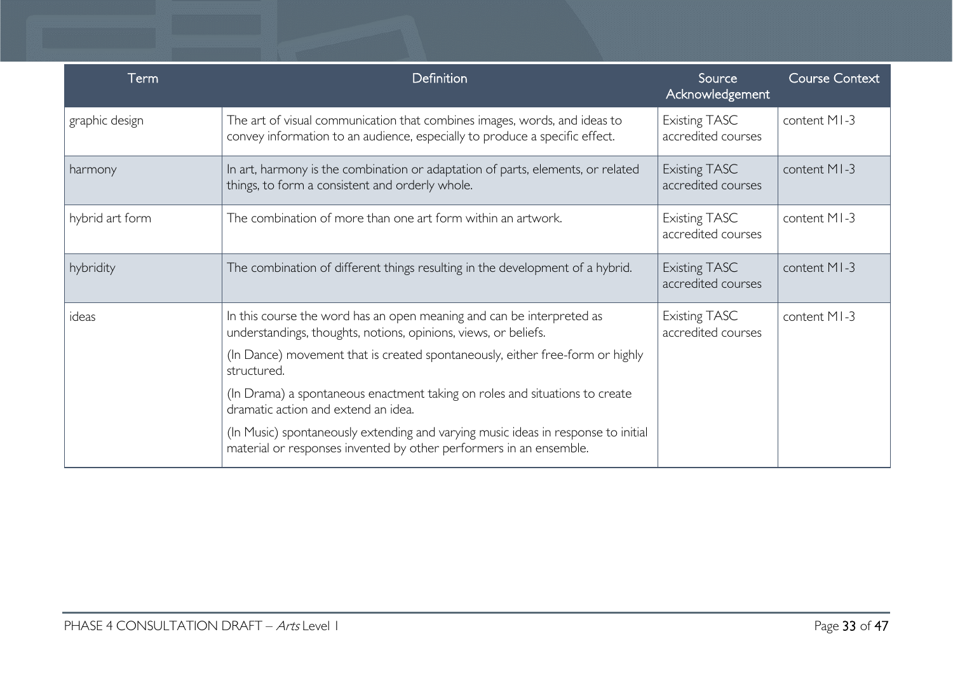| Term            | Definition                                                                                                                                               | Source<br>Acknowledgement                  | <b>Course Context</b> |
|-----------------|----------------------------------------------------------------------------------------------------------------------------------------------------------|--------------------------------------------|-----------------------|
| graphic design  | The art of visual communication that combines images, words, and ideas to<br>convey information to an audience, especially to produce a specific effect. | <b>Existing TASC</b><br>accredited courses | content MI-3          |
| harmony         | In art, harmony is the combination or adaptation of parts, elements, or related<br>things, to form a consistent and orderly whole.                       | <b>Existing TASC</b><br>accredited courses | content MI-3          |
| hybrid art form | The combination of more than one art form within an artwork.                                                                                             | <b>Existing TASC</b><br>accredited courses | content MI-3          |
| hybridity       | The combination of different things resulting in the development of a hybrid.                                                                            | <b>Existing TASC</b><br>accredited courses | content MI-3          |
| ideas           | In this course the word has an open meaning and can be interpreted as<br>understandings, thoughts, notions, opinions, views, or beliefs.                 | <b>Existing TASC</b><br>accredited courses | content MI-3          |
|                 | (In Dance) movement that is created spontaneously, either free-form or highly<br>structured.                                                             |                                            |                       |
|                 | (In Drama) a spontaneous enactment taking on roles and situations to create<br>dramatic action and extend an idea.                                       |                                            |                       |
|                 | (In Music) spontaneously extending and varying music ideas in response to initial<br>material or responses invented by other performers in an ensemble.  |                                            |                       |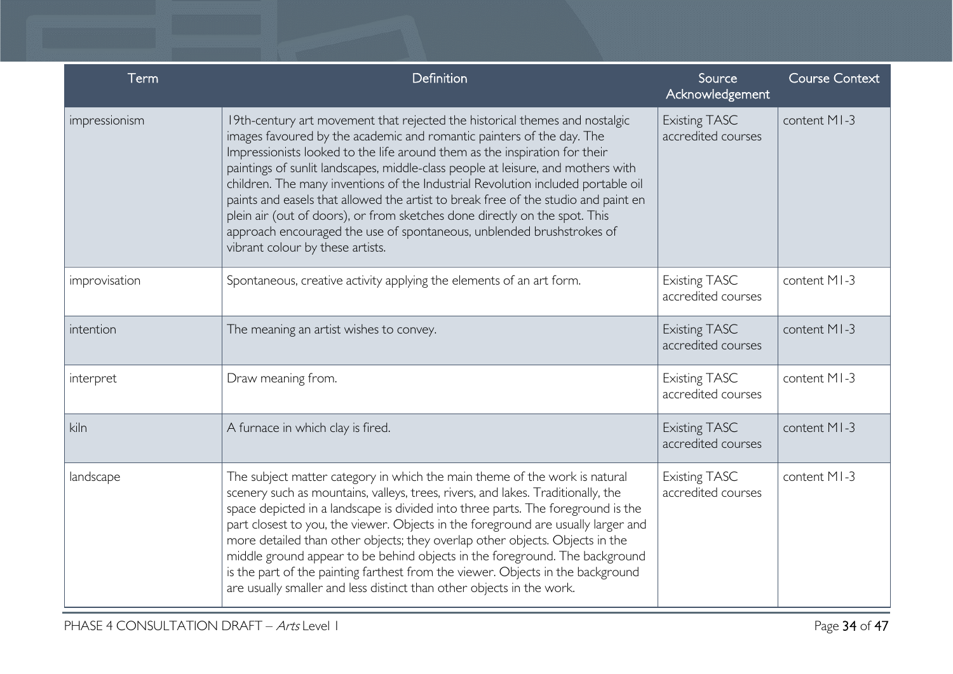| Term          | Definition                                                                                                                                                                                                                                                                                                                                                                                                                                                                                                                                                                                                                                                                                  | Source<br>Acknowledgement                  | <b>Course Context</b> |
|---------------|---------------------------------------------------------------------------------------------------------------------------------------------------------------------------------------------------------------------------------------------------------------------------------------------------------------------------------------------------------------------------------------------------------------------------------------------------------------------------------------------------------------------------------------------------------------------------------------------------------------------------------------------------------------------------------------------|--------------------------------------------|-----------------------|
| impressionism | 19th-century art movement that rejected the historical themes and nostalgic<br>images favoured by the academic and romantic painters of the day. The<br>Impressionists looked to the life around them as the inspiration for their<br>paintings of sunlit landscapes, middle-class people at leisure, and mothers with<br>children. The many inventions of the Industrial Revolution included portable oil<br>paints and easels that allowed the artist to break free of the studio and paint en<br>plein air (out of doors), or from sketches done directly on the spot. This<br>approach encouraged the use of spontaneous, unblended brushstrokes of<br>vibrant colour by these artists. | <b>Existing TASC</b><br>accredited courses | content MI-3          |
| improvisation | Spontaneous, creative activity applying the elements of an art form.                                                                                                                                                                                                                                                                                                                                                                                                                                                                                                                                                                                                                        | <b>Existing TASC</b><br>accredited courses | content MI-3          |
| intention     | The meaning an artist wishes to convey.                                                                                                                                                                                                                                                                                                                                                                                                                                                                                                                                                                                                                                                     | <b>Existing TASC</b><br>accredited courses | content MI-3          |
| interpret     | Draw meaning from.                                                                                                                                                                                                                                                                                                                                                                                                                                                                                                                                                                                                                                                                          | <b>Existing TASC</b><br>accredited courses | content MI-3          |
| kiln          | A furnace in which clay is fired.                                                                                                                                                                                                                                                                                                                                                                                                                                                                                                                                                                                                                                                           | <b>Existing TASC</b><br>accredited courses | content MI-3          |
| landscape     | The subject matter category in which the main theme of the work is natural<br>scenery such as mountains, valleys, trees, rivers, and lakes. Traditionally, the<br>space depicted in a landscape is divided into three parts. The foreground is the<br>part closest to you, the viewer. Objects in the foreground are usually larger and<br>more detailed than other objects; they overlap other objects. Objects in the<br>middle ground appear to be behind objects in the foreground. The background<br>is the part of the painting farthest from the viewer. Objects in the background<br>are usually smaller and less distinct than other objects in the work.                          | <b>Existing TASC</b><br>accredited courses | content MI-3          |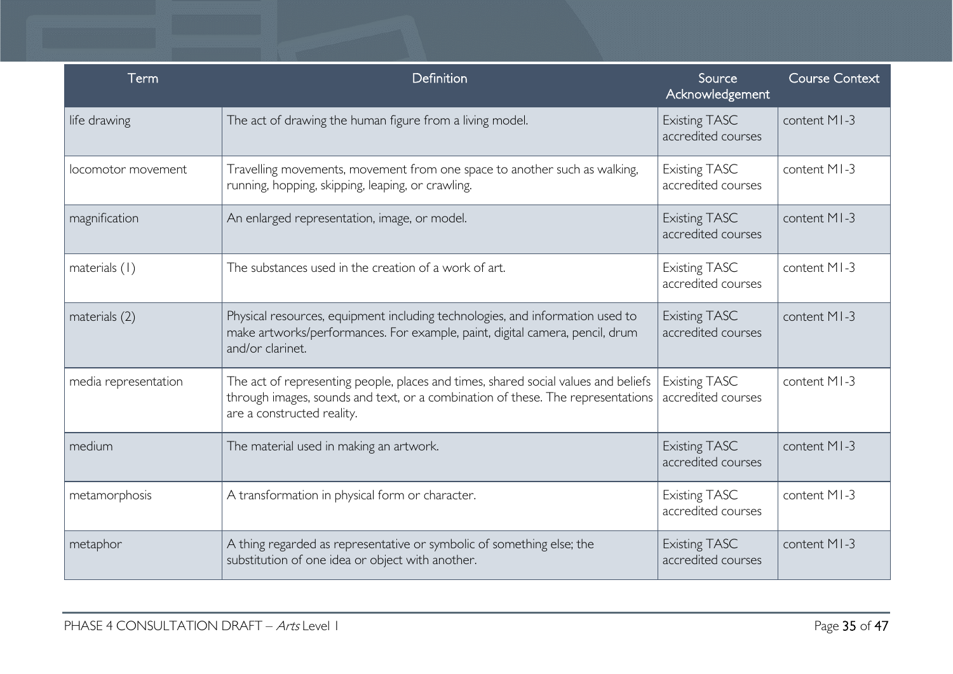| <b>Term</b>          | Definition                                                                                                                                                                                          | Source<br>Acknowledgement                  | <b>Course Context</b> |
|----------------------|-----------------------------------------------------------------------------------------------------------------------------------------------------------------------------------------------------|--------------------------------------------|-----------------------|
| life drawing         | The act of drawing the human figure from a living model.                                                                                                                                            | <b>Existing TASC</b><br>accredited courses | content MI-3          |
| locomotor movement   | Travelling movements, movement from one space to another such as walking,<br>running, hopping, skipping, leaping, or crawling.                                                                      | <b>Existing TASC</b><br>accredited courses | content MI-3          |
| magnification        | An enlarged representation, image, or model.                                                                                                                                                        | <b>Existing TASC</b><br>accredited courses | content MI-3          |
| materials (1)        | The substances used in the creation of a work of art.                                                                                                                                               | <b>Existing TASC</b><br>accredited courses | content MI-3          |
| materials (2)        | Physical resources, equipment including technologies, and information used to<br>make artworks/performances. For example, paint, digital camera, pencil, drum<br>and/or clarinet.                   | <b>Existing TASC</b><br>accredited courses | content MI-3          |
| media representation | The act of representing people, places and times, shared social values and beliefs<br>through images, sounds and text, or a combination of these. The representations<br>are a constructed reality. | <b>Existing TASC</b><br>accredited courses | content MI-3          |
| medium               | The material used in making an artwork.                                                                                                                                                             | <b>Existing TASC</b><br>accredited courses | content MI-3          |
| metamorphosis        | A transformation in physical form or character.                                                                                                                                                     | <b>Existing TASC</b><br>accredited courses | content MI-3          |
| metaphor             | A thing regarded as representative or symbolic of something else; the<br>substitution of one idea or object with another.                                                                           | <b>Existing TASC</b><br>accredited courses | content MI-3          |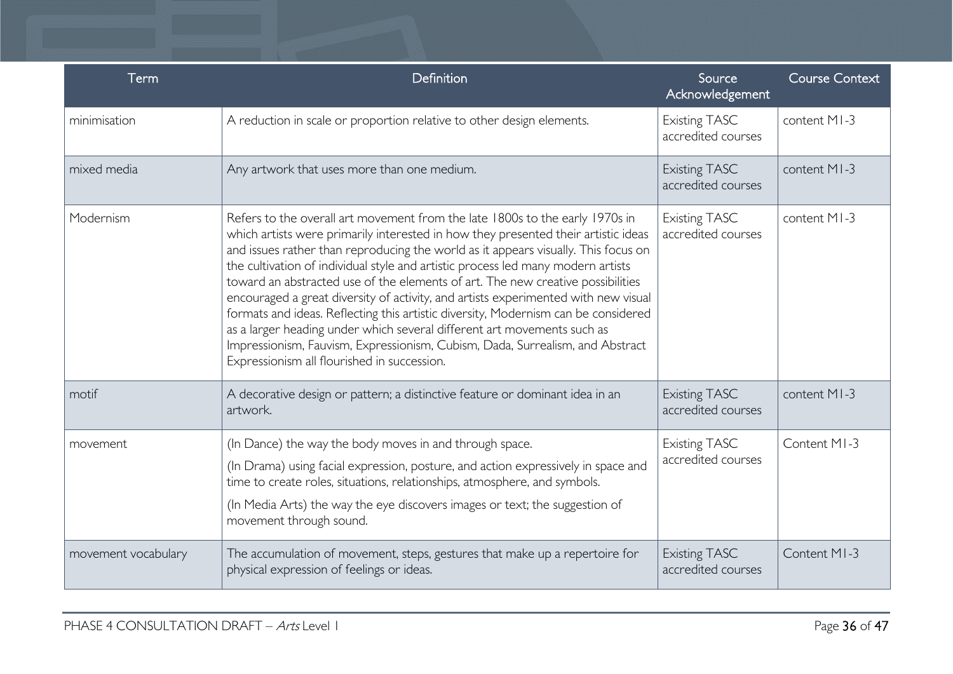| Term                | Definition                                                                                                                                                                                                                                                                                                                                                                                                                                                                                                                                                                                                                                                                                                                                                                                                             | Source<br>Acknowledgement                  | <b>Course Context</b> |
|---------------------|------------------------------------------------------------------------------------------------------------------------------------------------------------------------------------------------------------------------------------------------------------------------------------------------------------------------------------------------------------------------------------------------------------------------------------------------------------------------------------------------------------------------------------------------------------------------------------------------------------------------------------------------------------------------------------------------------------------------------------------------------------------------------------------------------------------------|--------------------------------------------|-----------------------|
| minimisation        | A reduction in scale or proportion relative to other design elements.                                                                                                                                                                                                                                                                                                                                                                                                                                                                                                                                                                                                                                                                                                                                                  | <b>Existing TASC</b><br>accredited courses | content MI-3          |
| mixed media         | Any artwork that uses more than one medium.                                                                                                                                                                                                                                                                                                                                                                                                                                                                                                                                                                                                                                                                                                                                                                            | <b>Existing TASC</b><br>accredited courses | content MI-3          |
| Modernism           | Refers to the overall art movement from the late 1800s to the early 1970s in<br>which artists were primarily interested in how they presented their artistic ideas<br>and issues rather than reproducing the world as it appears visually. This focus on<br>the cultivation of individual style and artistic process led many modern artists<br>toward an abstracted use of the elements of art. The new creative possibilities<br>encouraged a great diversity of activity, and artists experimented with new visual<br>formats and ideas. Reflecting this artistic diversity, Modernism can be considered<br>as a larger heading under which several different art movements such as<br>Impressionism, Fauvism, Expressionism, Cubism, Dada, Surrealism, and Abstract<br>Expressionism all flourished in succession. | <b>Existing TASC</b><br>accredited courses | content MI-3          |
| motif               | A decorative design or pattern; a distinctive feature or dominant idea in an<br>artwork.                                                                                                                                                                                                                                                                                                                                                                                                                                                                                                                                                                                                                                                                                                                               | <b>Existing TASC</b><br>accredited courses | content MI-3          |
| movement            | (In Dance) the way the body moves in and through space.                                                                                                                                                                                                                                                                                                                                                                                                                                                                                                                                                                                                                                                                                                                                                                | <b>Existing TASC</b>                       | Content MI-3          |
|                     | (In Drama) using facial expression, posture, and action expressively in space and<br>time to create roles, situations, relationships, atmosphere, and symbols.                                                                                                                                                                                                                                                                                                                                                                                                                                                                                                                                                                                                                                                         | accredited courses                         |                       |
|                     | (In Media Arts) the way the eye discovers images or text; the suggestion of<br>movement through sound.                                                                                                                                                                                                                                                                                                                                                                                                                                                                                                                                                                                                                                                                                                                 |                                            |                       |
| movement vocabulary | The accumulation of movement, steps, gestures that make up a repertoire for<br>physical expression of feelings or ideas.                                                                                                                                                                                                                                                                                                                                                                                                                                                                                                                                                                                                                                                                                               | <b>Existing TASC</b><br>accredited courses | Content MI-3          |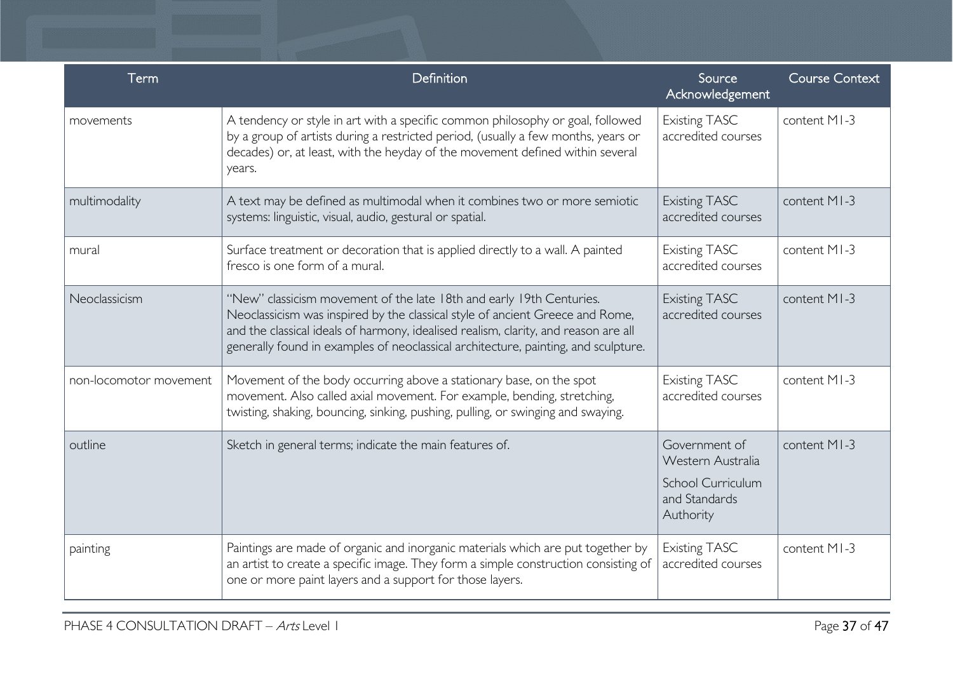| Term                   | Definition                                                                                                                                                                                                                                                                                                                         | Source<br>Acknowledgement                                                                    | <b>Course Context</b> |
|------------------------|------------------------------------------------------------------------------------------------------------------------------------------------------------------------------------------------------------------------------------------------------------------------------------------------------------------------------------|----------------------------------------------------------------------------------------------|-----------------------|
| movements              | A tendency or style in art with a specific common philosophy or goal, followed<br>by a group of artists during a restricted period, (usually a few months, years or<br>decades) or, at least, with the heyday of the movement defined within several<br>years.                                                                     | <b>Existing TASC</b><br>accredited courses                                                   | content MI-3          |
| multimodality          | A text may be defined as multimodal when it combines two or more semiotic<br>systems: linguistic, visual, audio, gestural or spatial.                                                                                                                                                                                              | <b>Existing TASC</b><br>accredited courses                                                   | content MI-3          |
| mural                  | Surface treatment or decoration that is applied directly to a wall. A painted<br>fresco is one form of a mural.                                                                                                                                                                                                                    | <b>Existing TASC</b><br>accredited courses                                                   | content MI-3          |
| Neoclassicism          | "New" classicism movement of the late 18th and early 19th Centuries.<br>Neoclassicism was inspired by the classical style of ancient Greece and Rome,<br>and the classical ideals of harmony, idealised realism, clarity, and reason are all<br>generally found in examples of neoclassical architecture, painting, and sculpture. | <b>Existing TASC</b><br>accredited courses                                                   | content MI-3          |
| non-locomotor movement | Movement of the body occurring above a stationary base, on the spot<br>movement. Also called axial movement. For example, bending, stretching,<br>twisting, shaking, bouncing, sinking, pushing, pulling, or swinging and swaying.                                                                                                 | <b>Existing TASC</b><br>accredited courses                                                   | content MI-3          |
| outline                | Sketch in general terms; indicate the main features of.                                                                                                                                                                                                                                                                            | Government of<br>Western Australia<br><b>School Curriculum</b><br>and Standards<br>Authority | content MI-3          |
| painting               | Paintings are made of organic and inorganic materials which are put together by<br>an artist to create a specific image. They form a simple construction consisting of<br>one or more paint layers and a support for those layers.                                                                                                 | <b>Existing TASC</b><br>accredited courses                                                   | content MI-3          |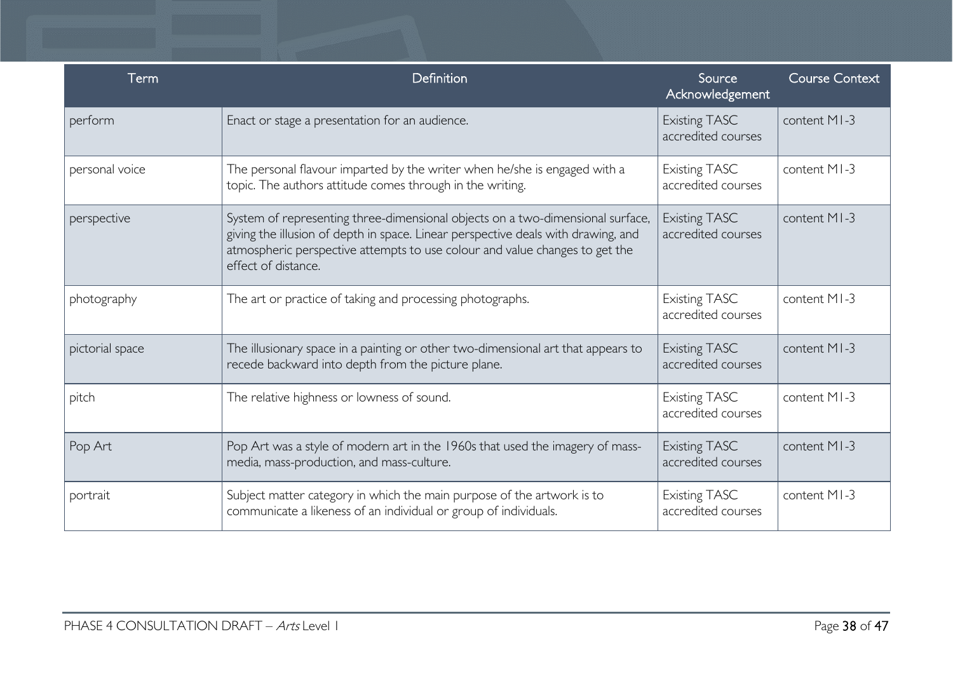| $\mathsf{Term}$ | Definition                                                                                                                                                                                                                                                                | Source<br>Acknowledgement                  | <b>Course Context</b> |
|-----------------|---------------------------------------------------------------------------------------------------------------------------------------------------------------------------------------------------------------------------------------------------------------------------|--------------------------------------------|-----------------------|
| perform         | Enact or stage a presentation for an audience.                                                                                                                                                                                                                            | <b>Existing TASC</b><br>accredited courses | content MI-3          |
| personal voice  | The personal flavour imparted by the writer when he/she is engaged with a<br>topic. The authors attitude comes through in the writing.                                                                                                                                    | <b>Existing TASC</b><br>accredited courses | content MI-3          |
| perspective     | System of representing three-dimensional objects on a two-dimensional surface,<br>giving the illusion of depth in space. Linear perspective deals with drawing, and<br>atmospheric perspective attempts to use colour and value changes to get the<br>effect of distance. | <b>Existing TASC</b><br>accredited courses | content MI-3          |
| photography     | The art or practice of taking and processing photographs.                                                                                                                                                                                                                 | <b>Existing TASC</b><br>accredited courses | content MI-3          |
| pictorial space | The illusionary space in a painting or other two-dimensional art that appears to<br>recede backward into depth from the picture plane.                                                                                                                                    | <b>Existing TASC</b><br>accredited courses | content MI-3          |
| pitch           | The relative highness or lowness of sound.                                                                                                                                                                                                                                | <b>Existing TASC</b><br>accredited courses | content MI-3          |
| Pop Art         | Pop Art was a style of modern art in the 1960s that used the imagery of mass-<br>media, mass-production, and mass-culture.                                                                                                                                                | <b>Existing TASC</b><br>accredited courses | content MI-3          |
| portrait        | Subject matter category in which the main purpose of the artwork is to<br>communicate a likeness of an individual or group of individuals.                                                                                                                                | <b>Existing TASC</b><br>accredited courses | content MI-3          |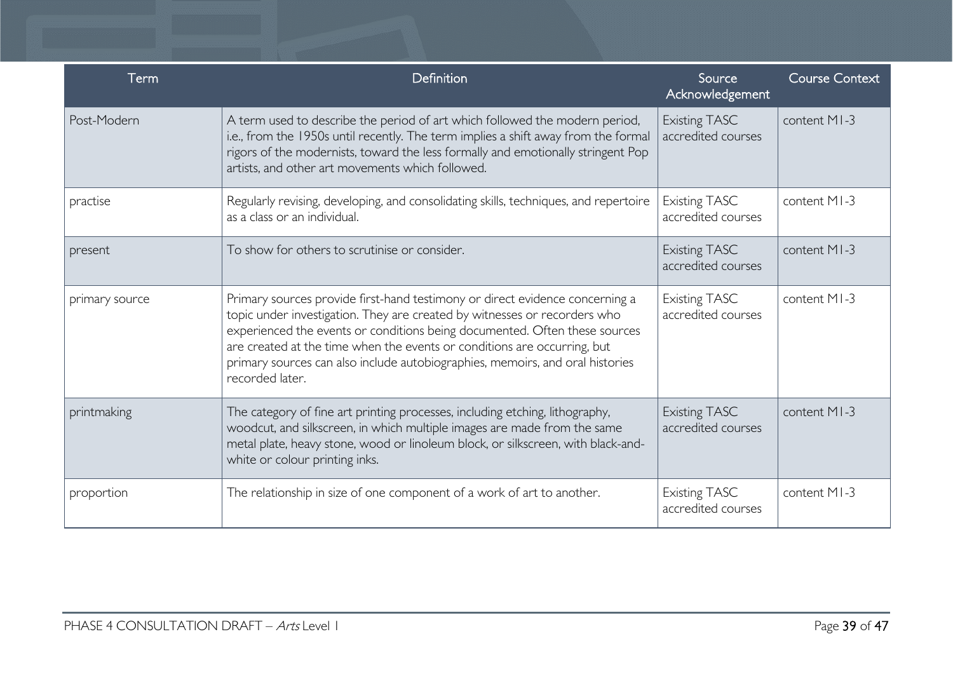| Term           | Definition                                                                                                                                                                                                                                                                                                                                                                                                              | Source<br>Acknowledgement                  | <b>Course Context</b> |
|----------------|-------------------------------------------------------------------------------------------------------------------------------------------------------------------------------------------------------------------------------------------------------------------------------------------------------------------------------------------------------------------------------------------------------------------------|--------------------------------------------|-----------------------|
| Post-Modern    | A term used to describe the period of art which followed the modern period,<br>i.e., from the 1950s until recently. The term implies a shift away from the formal<br>rigors of the modernists, toward the less formally and emotionally stringent Pop<br>artists, and other art movements which followed.                                                                                                               | <b>Existing TASC</b><br>accredited courses | content MI-3          |
| practise       | Regularly revising, developing, and consolidating skills, techniques, and repertoire<br>as a class or an individual.                                                                                                                                                                                                                                                                                                    | <b>Existing TASC</b><br>accredited courses | content MI-3          |
| present        | To show for others to scrutinise or consider.                                                                                                                                                                                                                                                                                                                                                                           | <b>Existing TASC</b><br>accredited courses | content MI-3          |
| primary source | Primary sources provide first-hand testimony or direct evidence concerning a<br>topic under investigation. They are created by witnesses or recorders who<br>experienced the events or conditions being documented. Often these sources<br>are created at the time when the events or conditions are occurring, but<br>primary sources can also include autobiographies, memoirs, and oral histories<br>recorded later. | <b>Existing TASC</b><br>accredited courses | content MI-3          |
| printmaking    | The category of fine art printing processes, including etching, lithography,<br>woodcut, and silkscreen, in which multiple images are made from the same<br>metal plate, heavy stone, wood or linoleum block, or silkscreen, with black-and-<br>white or colour printing inks.                                                                                                                                          | <b>Existing TASC</b><br>accredited courses | content MI-3          |
| proportion     | The relationship in size of one component of a work of art to another.                                                                                                                                                                                                                                                                                                                                                  | <b>Existing TASC</b><br>accredited courses | content MI-3          |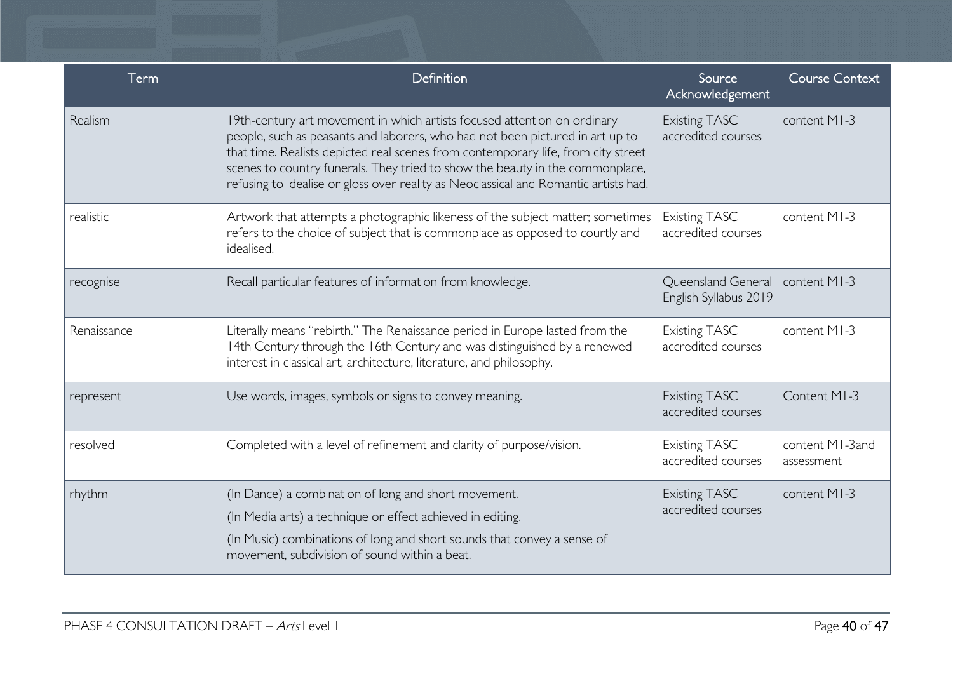| Term        | Definition                                                                                                                                                                                                                                                                                                                                                                                                              | Source<br>Acknowledgement                   | <b>Course Context</b>         |
|-------------|-------------------------------------------------------------------------------------------------------------------------------------------------------------------------------------------------------------------------------------------------------------------------------------------------------------------------------------------------------------------------------------------------------------------------|---------------------------------------------|-------------------------------|
| Realism     | 19th-century art movement in which artists focused attention on ordinary<br>people, such as peasants and laborers, who had not been pictured in art up to<br>that time. Realists depicted real scenes from contemporary life, from city street<br>scenes to country funerals. They tried to show the beauty in the commonplace,<br>refusing to idealise or gloss over reality as Neoclassical and Romantic artists had. | <b>Existing TASC</b><br>accredited courses  | content MI-3                  |
| realistic   | Artwork that attempts a photographic likeness of the subject matter; sometimes<br>refers to the choice of subject that is commonplace as opposed to courtly and<br>idealised.                                                                                                                                                                                                                                           | <b>Existing TASC</b><br>accredited courses  | content MI-3                  |
| recognise   | Recall particular features of information from knowledge.                                                                                                                                                                                                                                                                                                                                                               | Queensland General<br>English Syllabus 2019 | content MI-3                  |
| Renaissance | Literally means "rebirth." The Renaissance period in Europe lasted from the<br>14th Century through the 16th Century and was distinguished by a renewed<br>interest in classical art, architecture, literature, and philosophy.                                                                                                                                                                                         | <b>Existing TASC</b><br>accredited courses  | content MI-3                  |
| represent   | Use words, images, symbols or signs to convey meaning.                                                                                                                                                                                                                                                                                                                                                                  | <b>Existing TASC</b><br>accredited courses  | Content MI-3                  |
| resolved    | Completed with a level of refinement and clarity of purpose/vision.                                                                                                                                                                                                                                                                                                                                                     | <b>Existing TASC</b><br>accredited courses  | content MI-3and<br>assessment |
| rhythm      | (In Dance) a combination of long and short movement.<br>(In Media arts) a technique or effect achieved in editing.<br>(In Music) combinations of long and short sounds that convey a sense of<br>movement, subdivision of sound within a beat.                                                                                                                                                                          | <b>Existing TASC</b><br>accredited courses  | content MI-3                  |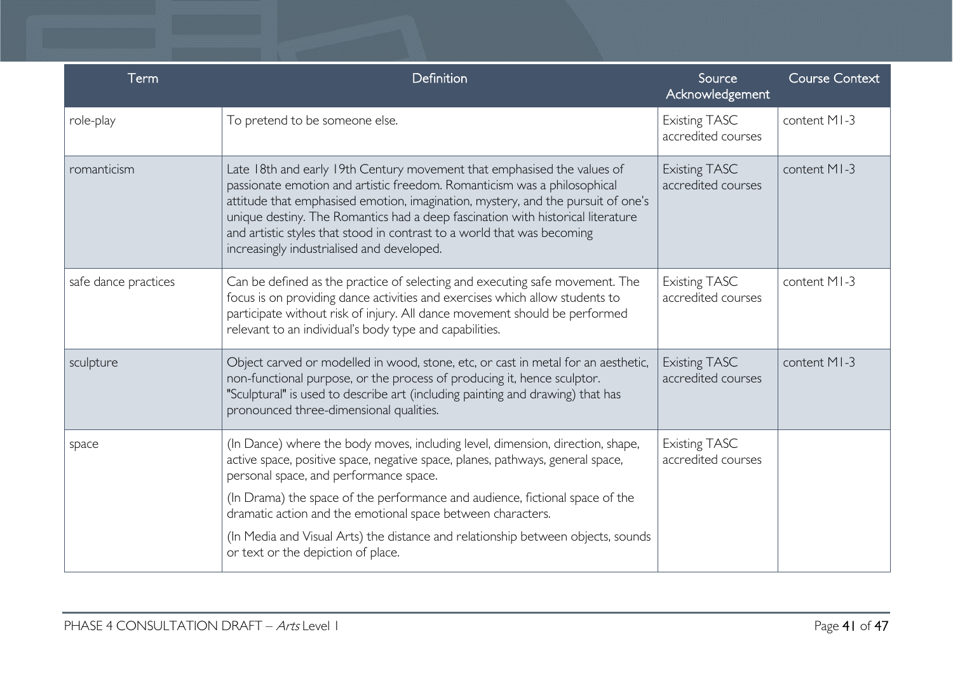| Term                 | Definition                                                                                                                                                                                                                                                                                                                                                                                                                                          | Source<br>Acknowledgement                  | <b>Course Context</b> |
|----------------------|-----------------------------------------------------------------------------------------------------------------------------------------------------------------------------------------------------------------------------------------------------------------------------------------------------------------------------------------------------------------------------------------------------------------------------------------------------|--------------------------------------------|-----------------------|
| role-play            | To pretend to be someone else.                                                                                                                                                                                                                                                                                                                                                                                                                      | <b>Existing TASC</b><br>accredited courses | content MI-3          |
| romanticism          | Late 18th and early 19th Century movement that emphasised the values of<br>passionate emotion and artistic freedom. Romanticism was a philosophical<br>attitude that emphasised emotion, imagination, mystery, and the pursuit of one's<br>unique destiny. The Romantics had a deep fascination with historical literature<br>and artistic styles that stood in contrast to a world that was becoming<br>increasingly industrialised and developed. | <b>Existing TASC</b><br>accredited courses | content MI-3          |
| safe dance practices | Can be defined as the practice of selecting and executing safe movement. The<br>focus is on providing dance activities and exercises which allow students to<br>participate without risk of injury. All dance movement should be performed<br>relevant to an individual's body type and capabilities.                                                                                                                                               | <b>Existing TASC</b><br>accredited courses | content MI-3          |
| sculpture            | Object carved or modelled in wood, stone, etc, or cast in metal for an aesthetic,<br>non-functional purpose, or the process of producing it, hence sculptor.<br>"Sculptural" is used to describe art (including painting and drawing) that has<br>pronounced three-dimensional qualities.                                                                                                                                                           | <b>Existing TASC</b><br>accredited courses | content MI-3          |
| space                | (In Dance) where the body moves, including level, dimension, direction, shape,<br>active space, positive space, negative space, planes, pathways, general space,<br>personal space, and performance space.                                                                                                                                                                                                                                          | <b>Existing TASC</b><br>accredited courses |                       |
|                      | (In Drama) the space of the performance and audience, fictional space of the<br>dramatic action and the emotional space between characters.                                                                                                                                                                                                                                                                                                         |                                            |                       |
|                      | (In Media and Visual Arts) the distance and relationship between objects, sounds<br>or text or the depiction of place.                                                                                                                                                                                                                                                                                                                              |                                            |                       |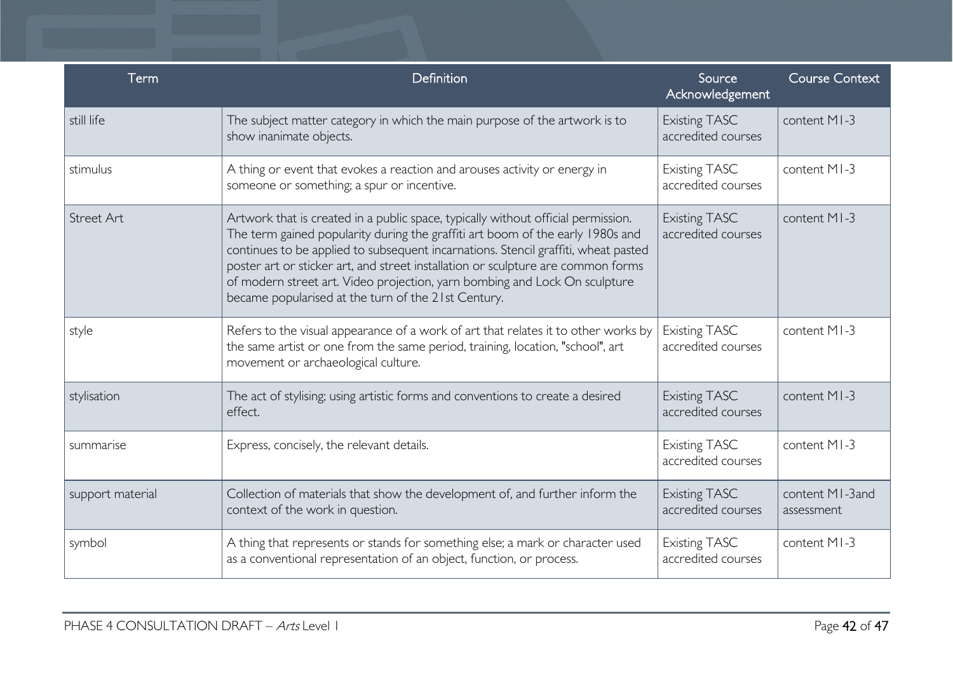| Term              | Definition                                                                                                                                                                                                                                                                                                                                                                                                                                                                         | Source<br>Acknowledgement                  | <b>Course Context</b>         |
|-------------------|------------------------------------------------------------------------------------------------------------------------------------------------------------------------------------------------------------------------------------------------------------------------------------------------------------------------------------------------------------------------------------------------------------------------------------------------------------------------------------|--------------------------------------------|-------------------------------|
| still life        | The subject matter category in which the main purpose of the artwork is to<br>show inanimate objects.                                                                                                                                                                                                                                                                                                                                                                              | <b>Existing TASC</b><br>accredited courses | content MI-3                  |
| stimulus          | A thing or event that evokes a reaction and arouses activity or energy in<br>someone or something; a spur or incentive.                                                                                                                                                                                                                                                                                                                                                            | <b>Existing TASC</b><br>accredited courses | content MI-3                  |
| <b>Street Art</b> | Artwork that is created in a public space, typically without official permission.<br>The term gained popularity during the graffiti art boom of the early 1980s and<br>continues to be applied to subsequent incarnations. Stencil graffiti, wheat pasted<br>poster art or sticker art, and street installation or sculpture are common forms<br>of modern street art. Video projection, yarn bombing and Lock On sculpture<br>became popularised at the turn of the 21st Century. | <b>Existing TASC</b><br>accredited courses | content MI-3                  |
| style             | Refers to the visual appearance of a work of art that relates it to other works by<br>the same artist or one from the same period, training, location, "school", art<br>movement or archaeological culture.                                                                                                                                                                                                                                                                        | <b>Existing TASC</b><br>accredited courses | content MI-3                  |
| stylisation       | The act of stylising; using artistic forms and conventions to create a desired<br>effect.                                                                                                                                                                                                                                                                                                                                                                                          | <b>Existing TASC</b><br>accredited courses | content MI-3                  |
| summarise         | Express, concisely, the relevant details.                                                                                                                                                                                                                                                                                                                                                                                                                                          | <b>Existing TASC</b><br>accredited courses | content MI-3                  |
| support material  | Collection of materials that show the development of, and further inform the<br>context of the work in question.                                                                                                                                                                                                                                                                                                                                                                   | <b>Existing TASC</b><br>accredited courses | content MI-3and<br>assessment |
| symbol            | A thing that represents or stands for something else; a mark or character used<br>as a conventional representation of an object, function, or process.                                                                                                                                                                                                                                                                                                                             | <b>Existing TASC</b><br>accredited courses | content MI-3                  |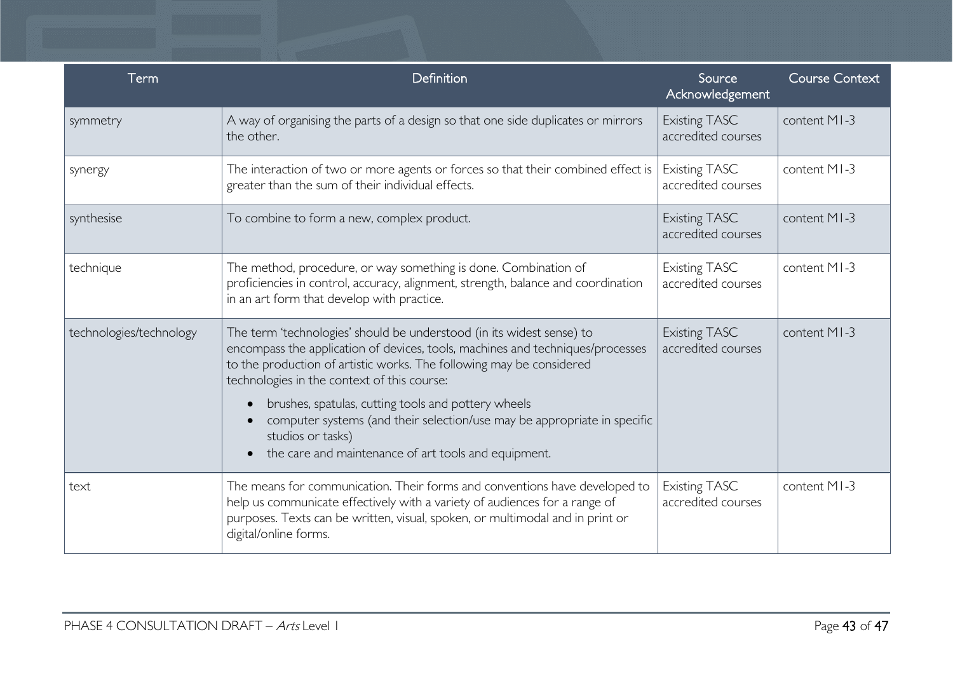| Term                    | Definition                                                                                                                                                                                                                                                                                                                                                                                                                                                                                     | Source<br>Acknowledgement                  | <b>Course Context</b> |
|-------------------------|------------------------------------------------------------------------------------------------------------------------------------------------------------------------------------------------------------------------------------------------------------------------------------------------------------------------------------------------------------------------------------------------------------------------------------------------------------------------------------------------|--------------------------------------------|-----------------------|
| symmetry                | A way of organising the parts of a design so that one side duplicates or mirrors<br>the other.                                                                                                                                                                                                                                                                                                                                                                                                 | <b>Existing TASC</b><br>accredited courses | content MI-3          |
| synergy                 | The interaction of two or more agents or forces so that their combined effect is<br>greater than the sum of their individual effects.                                                                                                                                                                                                                                                                                                                                                          | <b>Existing TASC</b><br>accredited courses | content MI-3          |
| synthesise              | To combine to form a new, complex product.                                                                                                                                                                                                                                                                                                                                                                                                                                                     | <b>Existing TASC</b><br>accredited courses | content MI-3          |
| technique               | The method, procedure, or way something is done. Combination of<br>proficiencies in control, accuracy, alignment, strength, balance and coordination<br>in an art form that develop with practice.                                                                                                                                                                                                                                                                                             | <b>Existing TASC</b><br>accredited courses | content MI-3          |
| technologies/technology | The term 'technologies' should be understood (in its widest sense) to<br>encompass the application of devices, tools, machines and techniques/processes<br>to the production of artistic works. The following may be considered<br>technologies in the context of this course:<br>brushes, spatulas, cutting tools and pottery wheels<br>computer systems (and their selection/use may be appropriate in specific<br>studios or tasks)<br>the care and maintenance of art tools and equipment. | <b>Existing TASC</b><br>accredited courses | content MI-3          |
| text                    | The means for communication. Their forms and conventions have developed to<br>help us communicate effectively with a variety of audiences for a range of<br>purposes. Texts can be written, visual, spoken, or multimodal and in print or<br>digital/online forms.                                                                                                                                                                                                                             | <b>Existing TASC</b><br>accredited courses | content MI-3          |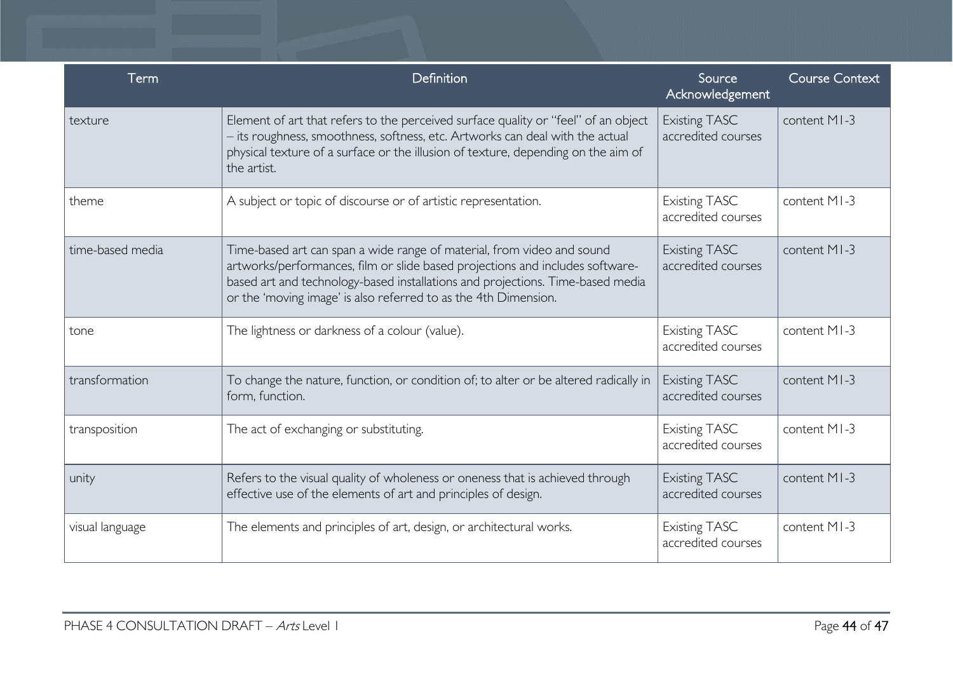| Term             | Definition                                                                                                                                                                                                                                                                                                   | Source<br>Acknowledgement                  | <b>Course Context</b> |
|------------------|--------------------------------------------------------------------------------------------------------------------------------------------------------------------------------------------------------------------------------------------------------------------------------------------------------------|--------------------------------------------|-----------------------|
| texture          | Element of art that refers to the perceived surface quality or "feel" of an object<br>- its roughness, smoothness, softness, etc. Artworks can deal with the actual<br>physical texture of a surface or the illusion of texture, depending on the aim of<br>the artist.                                      | <b>Existing TASC</b><br>accredited courses | content MI-3          |
| theme            | A subject or topic of discourse or of artistic representation.                                                                                                                                                                                                                                               | <b>Existing TASC</b><br>accredited courses | content MI-3          |
| time-based media | Time-based art can span a wide range of material, from video and sound<br>artworks/performances, film or slide based projections and includes software-<br>based art and technology-based installations and projections. Time-based media<br>or the 'moving image' is also referred to as the 4th Dimension. | <b>Existing TASC</b><br>accredited courses | content MI-3          |
| tone             | The lightness or darkness of a colour (value).                                                                                                                                                                                                                                                               | <b>Existing TASC</b><br>accredited courses | content MI-3          |
| transformation   | To change the nature, function, or condition of; to alter or be altered radically in<br>form, function.                                                                                                                                                                                                      | <b>Existing TASC</b><br>accredited courses | content MI-3          |
| transposition    | The act of exchanging or substituting.                                                                                                                                                                                                                                                                       | <b>Existing TASC</b><br>accredited courses | content MI-3          |
| unity            | Refers to the visual quality of wholeness or oneness that is achieved through<br>effective use of the elements of art and principles of design.                                                                                                                                                              | <b>Existing TASC</b><br>accredited courses | content MI-3          |
| visual language  | The elements and principles of art, design, or architectural works.                                                                                                                                                                                                                                          | <b>Existing TASC</b><br>accredited courses | content MI-3          |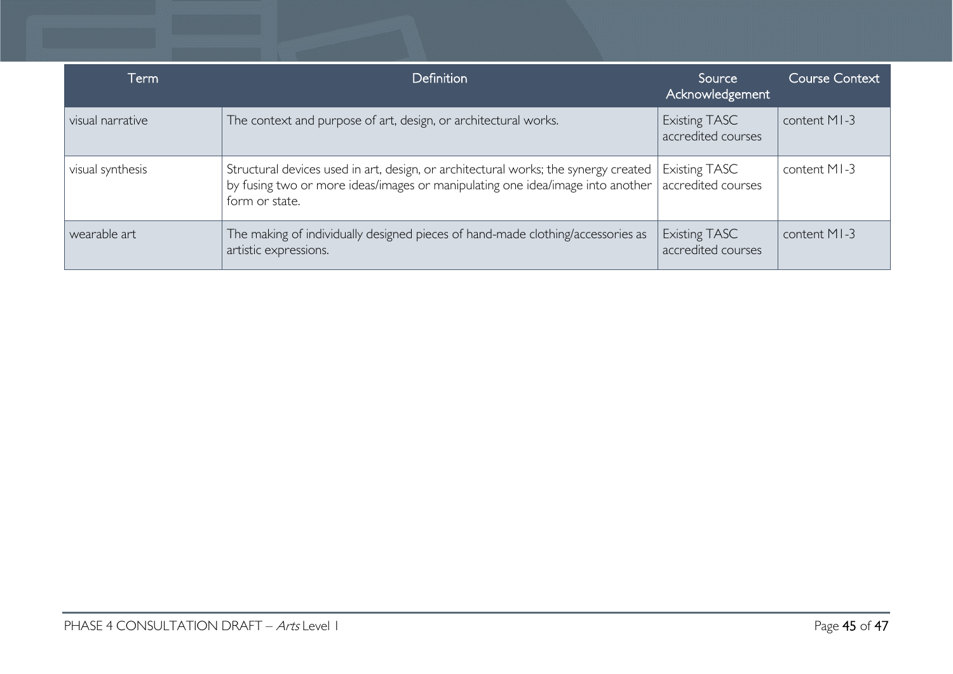| Term             | <b>Definition</b>                                                                                                                                                                       | Source<br>Acknowledgement                  | <b>Course Context</b> |
|------------------|-----------------------------------------------------------------------------------------------------------------------------------------------------------------------------------------|--------------------------------------------|-----------------------|
| visual narrative | The context and purpose of art, design, or architectural works.                                                                                                                         | <b>Existing TASC</b><br>accredited courses | content MI-3          |
| visual synthesis | Structural devices used in art, design, or architectural works; the synergy created<br>by fusing two or more ideas/images or manipulating one idea/image into another<br>form or state. | <b>Existing TASC</b><br>accredited courses | content MI-3          |
| wearable art     | The making of individually designed pieces of hand-made clothing/accessories as<br>artistic expressions.                                                                                | Existing TASC<br>accredited courses        | content MI-3          |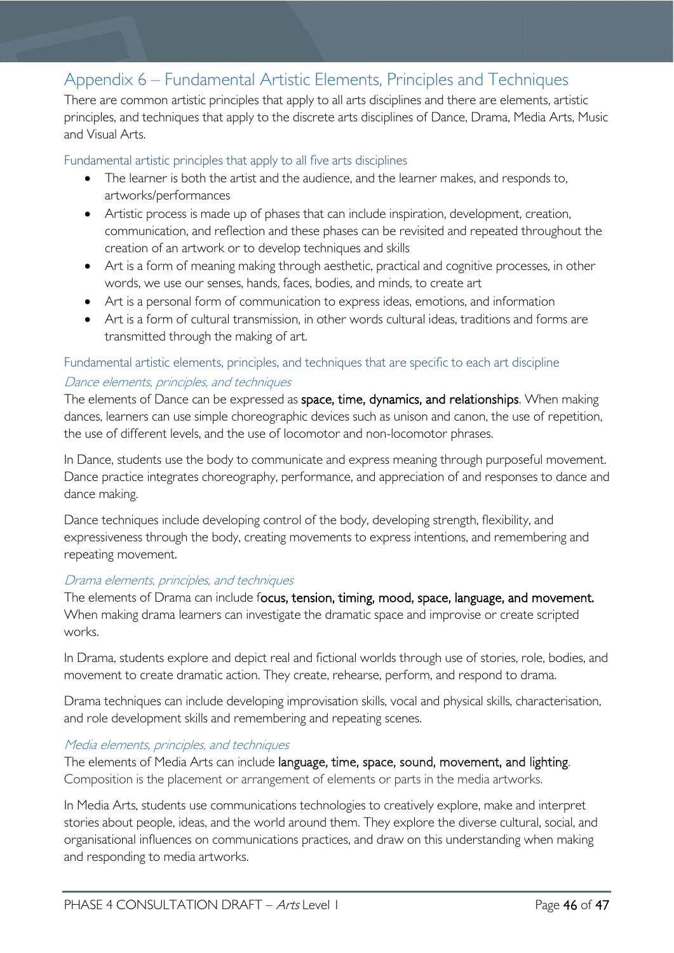### <span id="page-45-0"></span>Appendix 6 – Fundamental Artistic Elements, Principles and Techniques

There are common artistic principles that apply to all arts disciplines and there are elements, artistic principles, and techniques that apply to the discrete arts disciplines of Dance, Drama, Media Arts, Music and Visual Arts.

### <span id="page-45-1"></span>Fundamental artistic principles that apply to all five arts disciplines

- The learner is both the artist and the audience, and the learner makes, and responds to, artworks/performances
- Artistic process is made up of phases that can include inspiration, development, creation, communication, and reflection and these phases can be revisited and repeated throughout the creation of an artwork or to develop techniques and skills
- Art is a form of meaning making through aesthetic, practical and cognitive processes, in other words, we use our senses, hands, faces, bodies, and minds, to create art
- Art is a personal form of communication to express ideas, emotions, and information
- Art is a form of cultural transmission, in other words cultural ideas, traditions and forms are transmitted through the making of art.

### <span id="page-45-2"></span>Fundamental artistic elements, principles, and techniques that are specific to each art discipline Dance elements, principles, and techniques

The elements of Dance can be expressed as space, time, dynamics, and relationships. When making dances, learners can use simple choreographic devices such as unison and canon, the use of repetition, the use of different levels, and the use of locomotor and non-locomotor phrases.

In Dance, students use the body to communicate and express meaning through purposeful movement. Dance practice integrates choreography, performance, and appreciation of and responses to dance and dance making.

Dance techniques include developing control of the body, developing strength, flexibility, and expressiveness through the body, creating movements to express intentions, and remembering and repeating movement.

### Drama elements, principles, and techniques

The elements of Drama can include focus, tension, timing, mood, space, language, and movement. When making drama learners can investigate the dramatic space and improvise or create scripted works.

In Drama, students explore and depict real and fictional worlds through use of stories, role, bodies, and movement to create dramatic action. They create, rehearse, perform, and respond to drama.

Drama techniques can include developing improvisation skills, vocal and physical skills, characterisation, and role development skills and remembering and repeating scenes.

### Media elements, principles, and techniques

The elements of Media Arts can include language, time, space, sound, movement, and lighting. Composition is the placement or arrangement of elements or parts in the media artworks.

In Media Arts, students use communications technologies to creatively explore, make and interpret stories about people, ideas, and the world around them. They explore the diverse cultural, social, and organisational influences on communications practices, and draw on this understanding when making and responding to media artworks.